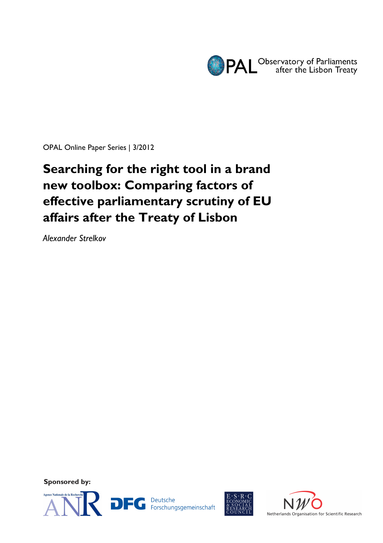

OPAL Online Paper Series | 3/2012

# **Searching for the right tool in a brand new toolbox: Comparing factors of effective parliamentary scrutiny of EU affairs after the Treaty of Lisbon**

*Alexander Strelkov*

**Sponsored by:** 



**DFG** Deutsche<br>Forschungsgemeinschaft



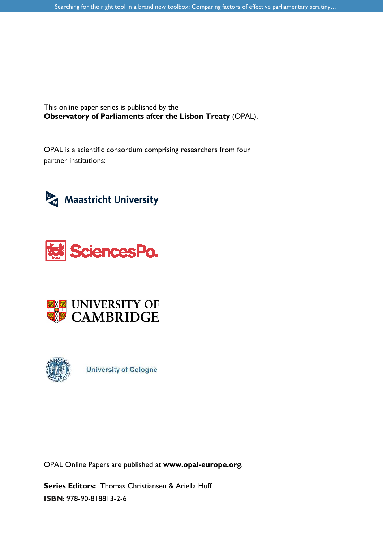This online paper series is published by the **Observatory of Parliaments after the Lisbon Treaty** (OPAL).

OPAL is a scientific consortium comprising researchers from four partner institutions:









**University of Cologne** 

OPAL Online Papers are published at **www.opal-europe.org**.

**Series Editors:** Thomas Christiansen & Ariella Huff **ISBN:** 978-90-818813-2-6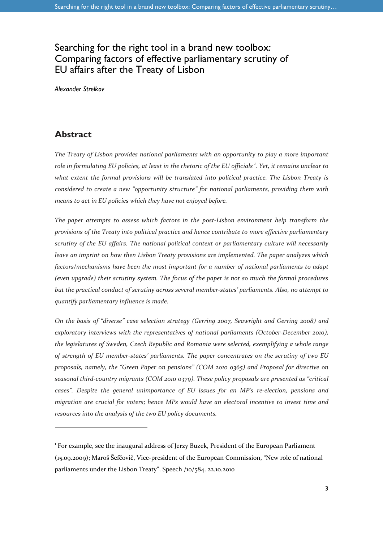# Searching for the right tool in a brand new toolbox: Comparing factors of effective parliamentary scrutiny of EU affairs after the Treaty of Lisbon

*Alexander Strelkov* 

### **Abstract**

 $\overline{a}$ 

*The Treaty of Lisbon provides national parliaments with an opportunity to play a more important role in formulating EU policies, at least in the rhetoric of the EU officials <sup>1</sup> . Yet, it remains unclear to what extent the formal provisions will be translated into political practice. The Lisbon Treaty is considered to create a new "opportunity structure" for national parliaments, providing them with means to act in EU policies which they have not enjoyed before.* 

*The paper attempts to assess which factors in the post-Lisbon environment help transform the provisions of the Treaty into political practice and hence contribute to more effective parliamentary scrutiny of the EU affairs. The national political context or parliamentary culture will necessarily leave an imprint on how then Lisbon Treaty provisions are implemented. The paper analyzes which factors/mechanisms have been the most important for a number of national parliaments to adapt (even upgrade) their scrutiny system. The focus of the paper is not so much the formal procedures but the practical conduct of scrutiny across several member-states' parliaments. Also, no attempt to quantify parliamentary influence is made.* 

*On the basis of "diverse" case selection strategy (Gerring 2007, Seawright and Gerring 2008) and exploratory interviews with the representatives of national parliaments (October-December 2010), the legislatures of Sweden, Czech Republic and Romania were selected, exemplifying a whole range of strength of EU member-states' parliaments. The paper concentrates on the scrutiny of two EU proposals, namely, the "Green Paper on pensions" (COM 2010 0365) and Proposal for directive on seasonal third-country migrants (COM 2010 0379). These policy proposals are presented as "critical cases". Despite the general unimportance of EU issues for an MP's re-election, pensions and migration are crucial for voters; hence MPs would have an electoral incentive to invest time and resources into the analysis of the two EU policy documents.* 

<sup>&</sup>lt;sup>1</sup> For example, see the inaugural address of Jerzy Buzek, President of the European Parliament (15.09.2009); Maroš Šefčovič, Vice-president of the European Commission, "New role of national parliaments under the Lisbon Treaty". Speech /10/584. 22.10.2010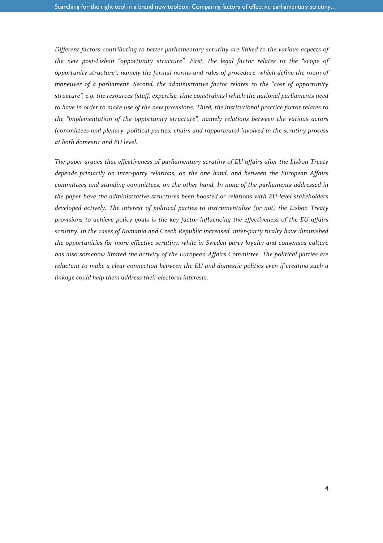*Different factors contributing to better parliamentary scrutiny are linked to the various aspects of the new post-Lisbon "opportunity structure". First, the legal factor relates to the "scope of opportunity structure", namely the formal norms and rules of procedure, which define the room of maneuver of a parliament. Second, the administrative factor relates to the "cost of opportunity structure", e.g. the resources (staff, expertise, time constraints) which the national parliaments need to have in order to make use of the new provisions. Third, the institutional practice factor relates to the "implementation of the opportunity structure", namely relations between the various actors (committees and plenary, political parties, chairs and rapporteurs) involved in the scrutiny process at both domestic and EU level.* 

*The paper argues that effectiveness of parliamentary scrutiny of EU affairs after the Lisbon Treaty depends primarily on inter-party relations, on the one hand, and between the European Affairs committees and standing committees, on the other hand. In none of the parliaments addressed in the paper have the administrative structures been boosted or relations with EU-level stakeholders developed actively. The interest of political parties to instrumentalise (or not) the Lisbon Treaty provisions to achieve policy goals is the key factor influencing the effectiveness of the EU affairs scrutiny. In the cases of Romania and Czech Republic increased inter-party rivalry have diminished the opportunities for more effective scrutiny, while in Sweden party loyalty and consensus culture has also somehow limited the activity of the European Affairs Committee. The political parties are reluctant to make a clear connection between the EU and domestic politics even if creating such a linkage could help them address their electoral interests.*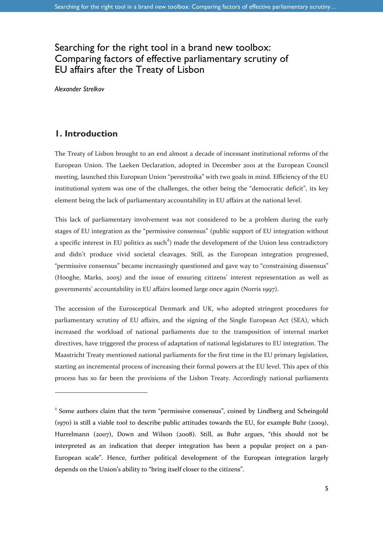# Searching for the right tool in a brand new toolbox: Comparing factors of effective parliamentary scrutiny of EU affairs after the Treaty of Lisbon

*Alexander Strelkov* 

### **1. Introduction**

1

The Treaty of Lisbon brought to an end almost a decade of incessant institutional reforms of the European Union. The Laeken Declaration, adopted in December 2001 at the European Council meeting, launched this European Union "perestroika" with two goals in mind. Efficiency of the EU institutional system was one of the challenges, the other being the "democratic deficit", its key element being the lack of parliamentary accountability in EU affairs at the national level.

This lack of parliamentary involvement was not considered to be a problem during the early stages of EU integration as the "permissive consensus" (public support of EU integration without a specific interest in EU politics as such<sup>2</sup>) made the development of the Union less contradictory and didn't produce vivid societal cleavages. Still, as the European integration progressed, "permissive consensus" became increasingly questioned and gave way to "constraining dissensus" (Hooghe, Marks, 2005) and the issue of ensuring citizens' interest representation as well as governments' accountability in EU affairs loomed large once again (Norris 1997).

The accession of the Eurosceptical Denmark and UK, who adopted stringent procedures for parliamentary scrutiny of EU affairs, and the signing of the Single European Act (SEA), which increased the workload of national parliaments due to the transposition of internal market directives, have triggered the process of adaptation of national legislatures to EU integration. The Maastricht Treaty mentioned national parliaments for the first time in the EU primary legislation, starting an incremental process of increasing their formal powers at the EU level. This apex of this process has so far been the provisions of the Lisbon Treaty. Accordingly national parliaments

<sup>&</sup>lt;sup>2</sup> Some authors claim that the term "permissive consensus", coined by Lindberg and Scheingold (1970) is still a viable tool to describe public attitudes towards the EU, for example Buhr (2009), Hurrelmann (2007), Down and Wilson (2008). Still, as Buhr argues, "this should not be interpreted as an indication that deeper integration has been a popular project on a pan-European scale". Hence, further political development of the European integration largely depends on the Union's ability to "bring itself closer to the citizens".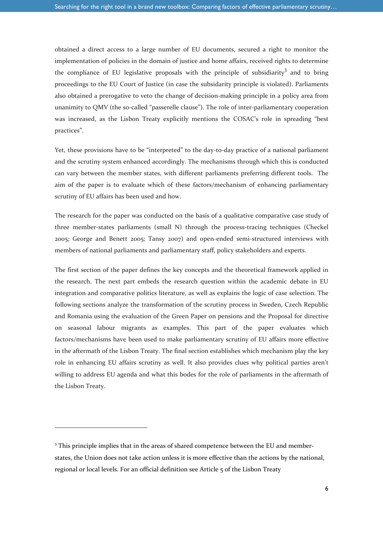obtained a direct access to a large number of EU documents, secured a right to monitor the implementation of policies in the domain of justice and home affairs, received rights to determine the compliance of EU legislative proposals with the principle of subsidiarity<sup>3</sup> and to bring proceedings to the EU Court of Justice (in case the subsidarity principle is violated). Parliaments also obtained a prerogative to veto the change of decision-making principle in a policy area from unanimity to QMV (the so-called "passerelle clause"). The role of inter-parliamentary cooperation was increased, as the Lisbon Treaty explicitly mentions the COSAC's role in spreading "best practices".

Yet, these provisions have to be "interpreted" to the day-to-day practice of a national parliament and the scrutiny system enhanced accordingly. The mechanisms through which this is conducted can vary between the member states, with different parliaments preferring different tools. The aim of the paper is to evaluate which of these factors/mechanism of enhancing parliamentary scrutiny of EU affairs has been used and how.

The research for the paper was conducted on the basis of a qualitative comparative case study of three member-states parliaments (small N) through the process-tracing techniques (Checkel 2005; George and Benett 2005; Tansy 2007) and open-ended semi-structured interviews with members of national parliaments and parliamentary staff, policy stakeholders and experts.

The first section of the paper defines the key concepts and the theoretical framework applied in the research. The next part embeds the research question within the academic debate in EU integration and comparative politics literature, as well as explains the logic of case selection. The following sections analyze the transformation of the scrutiny process in Sweden, Czech Republic and Romania using the evaluation of the Green Paper on pensions and the Proposal for directive on seasonal labour migrants as examples. This part of the paper evaluates which factors/mechanisms have been used to make parliamentary scrutiny of EU affairs more effective in the aftermath of the Lisbon Treaty. The final section establishes which mechanism play the key role in enhancing EU affairs scrutiny as well. It also provides clues why political parties aren't willing to address EU agenda and what this bodes for the role of parliaments in the aftermath of the Lisbon Treaty.

<sup>&</sup>lt;sup>3</sup> This principle implies that in the areas of shared competence between the EU and memberstates, the Union does not take action unless it is more effective than the actions by the national, regional or local levels. For an official definition see Article 5 of the Lisbon Treaty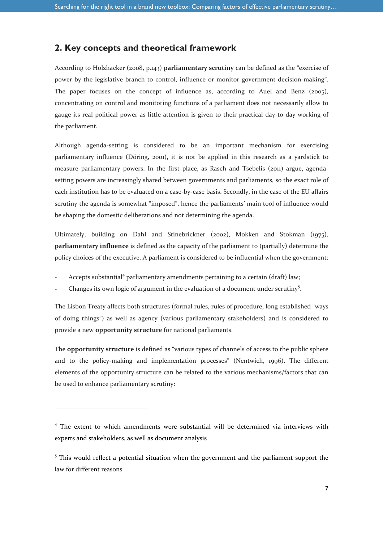### **2. Key concepts and theoretical framework**

According to Holzhacker (2008, p.143) **parliamentary scrutiny** can be defined as the "exercise of power by the legislative branch to control, influence or monitor government decision-making". The paper focuses on the concept of influence as, according to Auel and Benz (2005), concentrating on control and monitoring functions of a parliament does not necessarily allow to gauge its real political power as little attention is given to their practical day-to-day working of the parliament.

Although agenda-setting is considered to be an important mechanism for exercising parliamentary influence (Döring, 2001), it is not be applied in this research as a yardstick to measure parliamentary powers. In the first place, as Rasch and Tsebelis (2011) argue, agendasetting powers are increasingly shared between governments and parliaments, so the exact role of each institution has to be evaluated on a case-by-case basis. Secondly, in the case of the EU affairs scrutiny the agenda is somewhat "imposed", hence the parliaments' main tool of influence would be shaping the domestic deliberations and not determining the agenda.

Ultimately, building on Dahl and Stinebrickner (2002), Mokken and Stokman (1975), **parliamentary influence** is defined as the capacity of the parliament to (partially) determine the policy choices of the executive. A parliament is considered to be influential when the government:

- Accepts substantial<sup>4</sup> parliamentary amendments pertaining to a certain (draft) law;
- Changes its own logic of argument in the evaluation of a document under scrutiny<sup>5</sup>.

The Lisbon Treaty affects both structures (formal rules, rules of procedure, long established "ways of doing things") as well as agency (various parliamentary stakeholders) and is considered to provide a new **opportunity structure** for national parliaments.

The **opportunity structure** is defined as "various types of channels of access to the public sphere and to the policy-making and implementation processes" (Nentwich, 1996). The different elements of the opportunity structure can be related to the various mechanisms/factors that can be used to enhance parliamentary scrutiny:

<sup>&</sup>lt;sup>4</sup> The extent to which amendments were substantial will be determined via interviews with experts and stakeholders, as well as document analysis

<sup>&</sup>lt;sup>5</sup> This would reflect a potential situation when the government and the parliament support the law for different reasons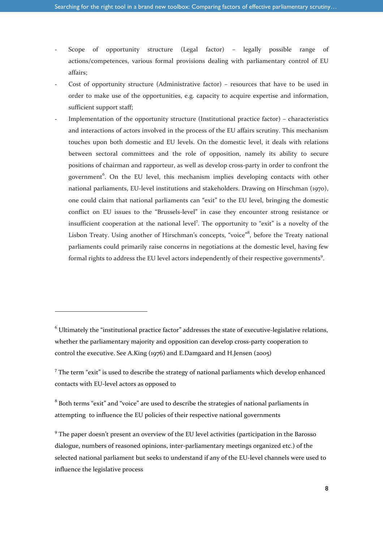- Scope of opportunity structure (Legal factor) legally possible range of actions/competences, various formal provisions dealing with parliamentary control of EU affairs;
- Cost of opportunity structure (Administrative factor) resources that have to be used in order to make use of the opportunities, e.g. capacity to acquire expertise and information, sufficient support staff;
- Implementation of the opportunity structure (Institutional practice factor) characteristics and interactions of actors involved in the process of the EU affairs scrutiny. This mechanism touches upon both domestic and EU levels. On the domestic level, it deals with relations between sectoral committees and the role of opposition, namely its ability to secure positions of chairman and rapporteur, as well as develop cross-party in order to confront the government<sup>6</sup>. On the EU level, this mechanism implies developing contacts with other national parliaments, EU-level institutions and stakeholders. Drawing on Hirschman (1970), one could claim that national parliaments can "exit" to the EU level, bringing the domestic conflict on EU issues to the "Brussels-level" in case they encounter strong resistance or insufficient cooperation at the national level<sup>7</sup>. The opportunity to "exit" is a novelty of the Lisbon Treaty. Using another of Hirschman's concepts, "voice"<sup>8</sup>, before the Treaty national parliaments could primarily raise concerns in negotiations at the domestic level, having few formal rights to address the EU level actors independently of their respective governments<sup>9</sup>.

l

 $6$  Ultimately the "institutional practice factor" addresses the state of executive-legislative relations, whether the parliamentary majority and opposition can develop cross-party cooperation to control the executive. See A.King (1976) and E.Damgaard and H.Jensen (2005)

 $7$  The term "exit" is used to describe the strategy of national parliaments which develop enhanced contacts with EU-level actors as opposed to

 $8$  Both terms "exit" and "voice" are used to describe the strategies of national parliaments in attempting to influence the EU policies of their respective national governments

<sup>&</sup>lt;sup>9</sup> The paper doesn't present an overview of the EU level activities (participation in the Barosso dialogue, numbers of reasoned opinions, inter-parliamentary meetings organized etc.) of the selected national parliament but seeks to understand if any of the EU-level channels were used to influence the legislative process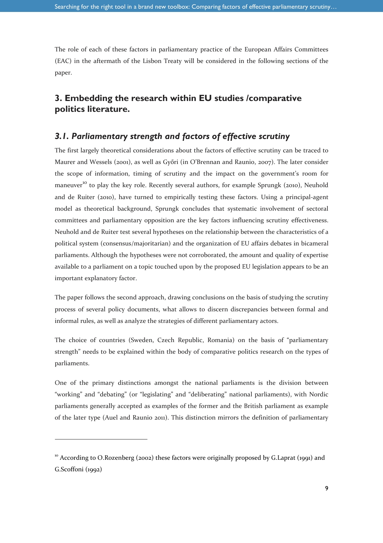The role of each of these factors in parliamentary practice of the European Affairs Committees (EAC) in the aftermath of the Lisbon Treaty will be considered in the following sections of the paper.

### **3. Embedding the research within EU studies /comparative politics literature.**

#### *3.1. Parliamentary strength and factors of effective scrutiny*

The first largely theoretical considerations about the factors of effective scrutiny can be traced to Maurer and Wessels (2001), as well as Győri (in O'Brennan and Raunio, 2007). The later consider the scope of information, timing of scrutiny and the impact on the government's room for maneuver<sup>10</sup> to play the key role. Recently several authors, for example Sprungk (2010), Neuhold and de Ruiter (2010), have turned to empirically testing these factors. Using a principal-agent model as theoretical background, Sprungk concludes that systematic involvement of sectoral committees and parliamentary opposition are the key factors influencing scrutiny effectiveness. Neuhold and de Ruiter test several hypotheses on the relationship between the characteristics of a political system (consensus/majoritarian) and the organization of EU affairs debates in bicameral parliaments. Although the hypotheses were not corroborated, the amount and quality of expertise available to a parliament on a topic touched upon by the proposed EU legislation appears to be an important explanatory factor.

The paper follows the second approach, drawing conclusions on the basis of studying the scrutiny process of several policy documents, what allows to discern discrepancies between formal and informal rules, as well as analyze the strategies of different parliamentary actors.

The choice of countries (Sweden, Czech Republic, Romania) on the basis of "parliamentary strength" needs to be explained within the body of comparative politics research on the types of parliaments.

One of the primary distinctions amongst the national parliaments is the division between "working" and "debating" (or "legislating" and "deliberating" national parliaments), with Nordic parliaments generally accepted as examples of the former and the British parliament as example of the later type (Auel and Raunio 2011). This distinction mirrors the definition of parliamentary

 $10<sup>10</sup>$  According to O.Rozenberg (2002) these factors were originally proposed by G.Laprat (1991) and G.Scoffoni (1992)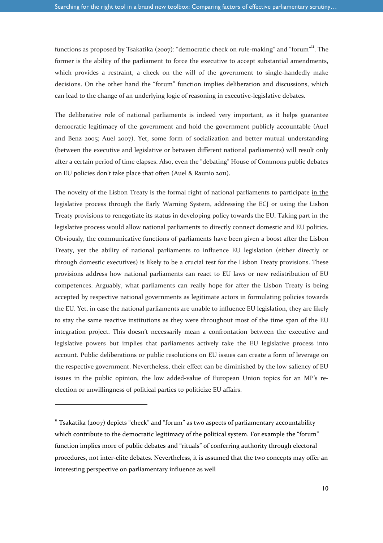functions as proposed by Tsakatika (2007): "democratic check on rule-making" and "forum"<sup>11</sup>. The former is the ability of the parliament to force the executive to accept substantial amendments, which provides a restraint, a check on the will of the government to single-handedly make decisions. On the other hand the "forum" function implies deliberation and discussions, which can lead to the change of an underlying logic of reasoning in executive-legislative debates.

The deliberative role of national parliaments is indeed very important, as it helps guarantee democratic legitimacy of the government and hold the government publicly accountable (Auel and Benz 2005; Auel 2007). Yet, some form of socialization and better mutual understanding (between the executive and legislative or between different national parliaments) will result only after a certain period of time elapses. Also, even the "debating" House of Commons public debates on EU policies don't take place that often (Auel & Raunio 2011).

The novelty of the Lisbon Treaty is the formal right of national parliaments to participate in the legislative process through the Early Warning System, addressing the ECJ or using the Lisbon Treaty provisions to renegotiate its status in developing policy towards the EU. Taking part in the legislative process would allow national parliaments to directly connect domestic and EU politics. Obviously, the communicative functions of parliaments have been given a boost after the Lisbon Treaty, yet the ability of national parliaments to influence EU legislation (either directly or through domestic executives) is likely to be a crucial test for the Lisbon Treaty provisions. These provisions address how national parliaments can react to EU laws or new redistribution of EU competences. Arguably, what parliaments can really hope for after the Lisbon Treaty is being accepted by respective national governments as legitimate actors in formulating policies towards the EU. Yet, in case the national parliaments are unable to influence EU legislation, they are likely to stay the same reactive institutions as they were throughout most of the time span of the EU integration project. This doesn't necessarily mean a confrontation between the executive and legislative powers but implies that parliaments actively take the EU legislative process into account. Public deliberations or public resolutions on EU issues can create a form of leverage on the respective government. Nevertheless, their effect can be diminished by the low saliency of EU issues in the public opinion, the low added-value of European Union topics for an MP's reelection or unwillingness of political parties to politicize EU affairs.

 $11$  Tsakatika (2007) depicts "check" and "forum" as two aspects of parliamentary accountability which contribute to the democratic legitimacy of the political system. For example the "forum" function implies more of public debates and "rituals" of conferring authority through electoral procedures, not inter-elite debates. Nevertheless, it is assumed that the two concepts may offer an interesting perspective on parliamentary influence as well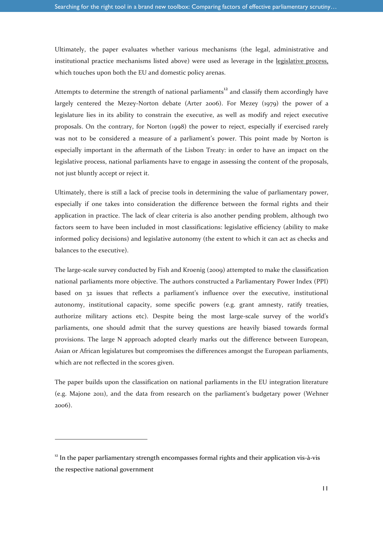Ultimately, the paper evaluates whether various mechanisms (the legal, administrative and institutional practice mechanisms listed above) were used as leverage in the legislative process, which touches upon both the EU and domestic policy arenas.

Attempts to determine the strength of national parliaments $12$  and classify them accordingly have largely centered the Mezey-Norton debate (Arter 2006). For Mezey (1979) the power of a legislature lies in its ability to constrain the executive, as well as modify and reject executive proposals. On the contrary, for Norton (1998) the power to reject, especially if exercised rarely was not to be considered a measure of a parliament's power. This point made by Norton is especially important in the aftermath of the Lisbon Treaty: in order to have an impact on the legislative process, national parliaments have to engage in assessing the content of the proposals, not just bluntly accept or reject it.

Ultimately, there is still a lack of precise tools in determining the value of parliamentary power, especially if one takes into consideration the difference between the formal rights and their application in practice. The lack of clear criteria is also another pending problem, although two factors seem to have been included in most classifications: legislative efficiency (ability to make informed policy decisions) and legislative autonomy (the extent to which it can act as checks and balances to the executive).

The large-scale survey conducted by Fish and Kroenig (2009) attempted to make the classification national parliaments more objective. The authors constructed a Parliamentary Power Index (PPI) based on 32 issues that reflects a parliament's influence over the executive, institutional autonomy, institutional capacity, some specific powers (e.g. grant amnesty, ratify treaties, authorize military actions etc). Despite being the most large-scale survey of the world's parliaments, one should admit that the survey questions are heavily biased towards formal provisions. The large N approach adopted clearly marks out the difference between European, Asian or African legislatures but compromises the differences amongst the European parliaments, which are not reflected in the scores given.

The paper builds upon the classification on national parliaments in the EU integration literature (e.g. Majone 2011), and the data from research on the parliament's budgetary power (Wehner 2006).

 $12$  In the paper parliamentary strength encompasses formal rights and their application vis-à-vis the respective national government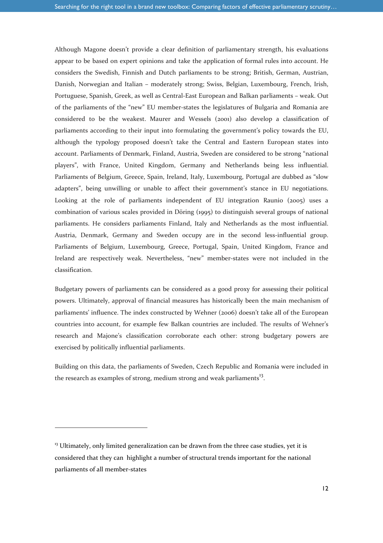Although Magone doesn't provide a clear definition of parliamentary strength, his evaluations appear to be based on expert opinions and take the application of formal rules into account. He considers the Swedish, Finnish and Dutch parliaments to be strong; British, German, Austrian, Danish, Norwegian and Italian – moderately strong; Swiss, Belgian, Luxembourg, French, Irish, Portuguese, Spanish, Greek, as well as Central-East European and Balkan parliaments – weak. Out of the parliaments of the "new" EU member-states the legislatures of Bulgaria and Romania are considered to be the weakest. Maurer and Wessels (2001) also develop a classification of parliaments according to their input into formulating the government's policy towards the EU, although the typology proposed doesn't take the Central and Eastern European states into account. Parliaments of Denmark, Finland, Austria, Sweden are considered to be strong "national players", with France, United Kingdom, Germany and Netherlands being less influential. Parliaments of Belgium, Greece, Spain, Ireland, Italy, Luxembourg, Portugal are dubbed as "slow adapters", being unwilling or unable to affect their government's stance in EU negotiations. Looking at the role of parliaments independent of EU integration Raunio (2005) uses a combination of various scales provided in Döring (1995) to distinguish several groups of national parliaments. He considers parliaments Finland, Italy and Netherlands as the most influential. Austria, Denmark, Germany and Sweden occupy are in the second less-influential group. Parliaments of Belgium, Luxembourg, Greece, Portugal, Spain, United Kingdom, France and Ireland are respectively weak. Nevertheless, "new" member-states were not included in the classification.

Budgetary powers of parliaments can be considered as a good proxy for assessing their political powers. Ultimately, approval of financial measures has historically been the main mechanism of parliaments' influence. The index constructed by Wehner (2006) doesn't take all of the European countries into account, for example few Balkan countries are included. The results of Wehner's research and Majone's classification corroborate each other: strong budgetary powers are exercised by politically influential parliaments.

Building on this data, the parliaments of Sweden, Czech Republic and Romania were included in the research as examples of strong, medium strong and weak parliaments<sup>13</sup>.

 $13$  Ultimately, only limited generalization can be drawn from the three case studies, yet it is considered that they can highlight a number of structural trends important for the national parliaments of all member-states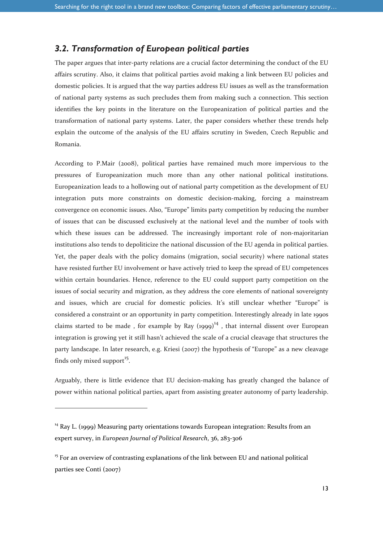### *3.2. Transformation of European political parties*

The paper argues that inter-party relations are a crucial factor determining the conduct of the EU affairs scrutiny. Also, it claims that political parties avoid making a link between EU policies and domestic policies. It is argued that the way parties address EU issues as well as the transformation of national party systems as such precludes them from making such a connection. This section identifies the key points in the literature on the Europeanization of political parties and the transformation of national party systems. Later, the paper considers whether these trends help explain the outcome of the analysis of the EU affairs scrutiny in Sweden, Czech Republic and Romania.

According to P.Mair (2008), political parties have remained much more impervious to the pressures of Europeanization much more than any other national political institutions. Europeanization leads to a hollowing out of national party competition as the development of EU integration puts more constraints on domestic decision-making, forcing a mainstream convergence on economic issues. Also, "Europe" limits party competition by reducing the number of issues that can be discussed exclusively at the national level and the number of tools with which these issues can be addressed. The increasingly important role of non-majoritarian institutions also tends to depoliticize the national discussion of the EU agenda in political parties. Yet, the paper deals with the policy domains (migration, social security) where national states have resisted further EU involvement or have actively tried to keep the spread of EU competences within certain boundaries. Hence, reference to the EU could support party competition on the issues of social security and migration, as they address the core elements of national sovereignty and issues, which are crucial for domestic policies. It's still unclear whether "Europe" is considered a constraint or an opportunity in party competition. Interestingly already in late 1990s claims started to be made, for example by Ray  $(1999)^{14}$ , that internal dissent over European integration is growing yet it still hasn't achieved the scale of a crucial cleavage that structures the party landscape. In later research, e.g. Kriesi (2007) the hypothesis of "Europe" as a new cleavage finds only mixed support<sup>15</sup>.

Arguably, there is little evidence that EU decision-making has greatly changed the balance of power within national political parties, apart from assisting greater autonomy of party leadership.

 $14$  Ray L. (1999) Measuring party orientations towards European integration: Results from an expert survey, in *European Journal of Political Research*, 36, 283-306

 $15$  For an overview of contrasting explanations of the link between EU and national political parties see Conti (2007)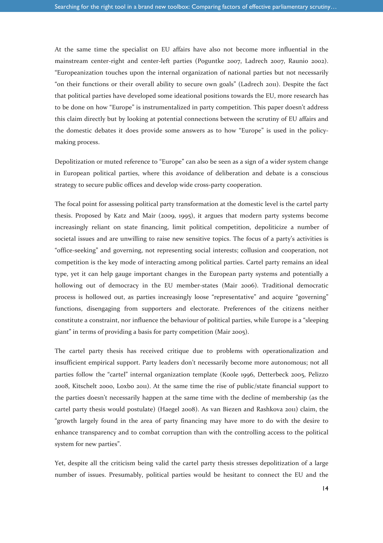At the same time the specialist on EU affairs have also not become more influential in the mainstream center-right and center-left parties (Poguntke 2007, Ladrech 2007, Raunio 2002). "Europeanization touches upon the internal organization of national parties but not necessarily "on their functions or their overall ability to secure own goals" (Ladrech 2011). Despite the fact that political parties have developed some ideational positions towards the EU, more research has to be done on how "Europe" is instrumentalized in party competition. This paper doesn't address this claim directly but by looking at potential connections between the scrutiny of EU affairs and the domestic debates it does provide some answers as to how "Europe" is used in the policymaking process.

Depolitization or muted reference to "Europe" can also be seen as a sign of a wider system change in European political parties, where this avoidance of deliberation and debate is a conscious strategy to secure public offices and develop wide cross-party cooperation.

The focal point for assessing political party transformation at the domestic level is the cartel party thesis. Proposed by Katz and Mair (2009, 1995), it argues that modern party systems become increasingly reliant on state financing, limit political competition, depoliticize a number of societal issues and are unwilling to raise new sensitive topics. The focus of a party's activities is "office-seeking" and governing, not representing social interests; collusion and cooperation, not competition is the key mode of interacting among political parties. Cartel party remains an ideal type, yet it can help gauge important changes in the European party systems and potentially a hollowing out of democracy in the EU member-states (Mair 2006). Traditional democratic process is hollowed out, as parties increasingly loose "representative" and acquire "governing" functions, disengaging from supporters and electorate. Preferences of the citizens neither constitute a constraint, nor influence the behaviour of political parties, while Europe is a "sleeping giant" in terms of providing a basis for party competition (Mair 2005).

The cartel party thesis has received critique due to problems with operationalization and insufficient empirical support. Party leaders don't necessarily become more autonomous; not all parties follow the "cartel" internal organization template (Koole 1996, Detterbeck 2005, Pelizzo 2008, Kitschelt 2000, Loxbo 2011). At the same time the rise of public/state financial support to the parties doesn't necessarily happen at the same time with the decline of membership (as the cartel party thesis would postulate) (Haegel 2008). As van Biezen and Rashkova 2011) claim, the "growth largely found in the area of party financing may have more to do with the desire to enhance transparency and to combat corruption than with the controlling access to the political system for new parties".

Yet, despite all the criticism being valid the cartel party thesis stresses depolitization of a large number of issues. Presumably, political parties would be hesitant to connect the EU and the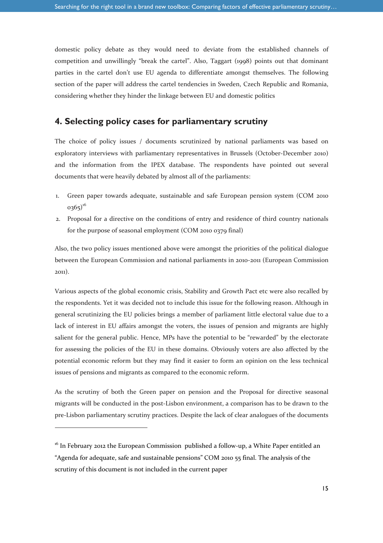domestic policy debate as they would need to deviate from the established channels of competition and unwillingly "break the cartel". Also, Taggart (1998) points out that dominant parties in the cartel don't use EU agenda to differentiate amongst themselves. The following section of the paper will address the cartel tendencies in Sweden, Czech Republic and Romania, considering whether they hinder the linkage between EU and domestic politics

#### **4. Selecting policy cases for parliamentary scrutiny**

The choice of policy issues / documents scrutinized by national parliaments was based on exploratory interviews with parliamentary representatives in Brussels (October-December 2010) and the information from the IPEX database. The respondents have pointed out several documents that were heavily debated by almost all of the parliaments:

- 1. Green paper towards adequate, sustainable and safe European pension system (COM 2010  $0365)^{16}$
- 2. Proposal for a directive on the conditions of entry and residence of third country nationals for the purpose of seasonal employment (COM 2010 0379 final)

Also, the two policy issues mentioned above were amongst the priorities of the political dialogue between the European Commission and national parliaments in 2010-2011 (European Commission 2011).

Various aspects of the global economic crisis, Stability and Growth Pact etc were also recalled by the respondents. Yet it was decided not to include this issue for the following reason. Although in general scrutinizing the EU policies brings a member of parliament little electoral value due to a lack of interest in EU affairs amongst the voters, the issues of pension and migrants are highly salient for the general public. Hence, MPs have the potential to be "rewarded" by the electorate for assessing the policies of the EU in these domains. Obviously voters are also affected by the potential economic reform but they may find it easier to form an opinion on the less technical issues of pensions and migrants as compared to the economic reform.

As the scrutiny of both the Green paper on pension and the Proposal for directive seasonal migrants will be conducted in the post-Lisbon environment, a comparison has to be drawn to the pre-Lisbon parliamentary scrutiny practices. Despite the lack of clear analogues of the documents

<sup>&</sup>lt;sup>16</sup> In February 2012 the European Commission published a follow-up, a White Paper entitled an "Agenda for adequate, safe and sustainable pensions" COM 2010 55 final. The analysis of the scrutiny of this document is not included in the current paper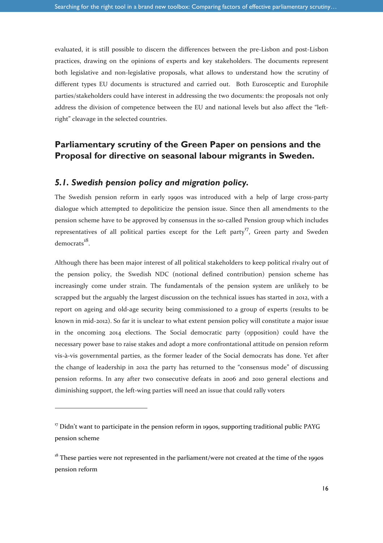evaluated, it is still possible to discern the differences between the pre-Lisbon and post-Lisbon practices, drawing on the opinions of experts and key stakeholders. The documents represent both legislative and non-legislative proposals, what allows to understand how the scrutiny of different types EU documents is structured and carried out. Both Eurosceptic and Europhile parties/stakeholders could have interest in addressing the two documents: the proposals not only address the division of competence between the EU and national levels but also affect the "leftright" cleavage in the selected countries.

### **Parliamentary scrutiny of the Green Paper on pensions and the Proposal for directive on seasonal labour migrants in Sweden.**

#### *5.1. Swedish pension policy and migration policy.*

The Swedish pension reform in early 1990s was introduced with a help of large cross-party dialogue which attempted to depoliticize the pension issue. Since then all amendments to the pension scheme have to be approved by consensus in the so-called Pension group which includes representatives of all political parties except for the Left party<sup>17</sup>, Green party and Sweden democrats<sup>18</sup>.

Although there has been major interest of all political stakeholders to keep political rivalry out of the pension policy, the Swedish NDC (notional defined contribution) pension scheme has increasingly come under strain. The fundamentals of the pension system are unlikely to be scrapped but the arguably the largest discussion on the technical issues has started in 2012, with a report on ageing and old-age security being commissioned to a group of experts (results to be known in mid-2012). So far it is unclear to what extent pension policy will constitute a major issue in the oncoming 2014 elections. The Social democratic party (opposition) could have the necessary power base to raise stakes and adopt a more confrontational attitude on pension reform vis-à-vis governmental parties, as the former leader of the Social democrats has done. Yet after the change of leadership in 2012 the party has returned to the "consensus mode" of discussing pension reforms. In any after two consecutive defeats in 2006 and 2010 general elections and diminishing support, the left-wing parties will need an issue that could rally voters

 $17$  Didn't want to participate in the pension reform in 1990s, supporting traditional public PAYG pension scheme

 $18$ <sup>18</sup> These parties were not represented in the parliament/were not created at the time of the 1990s pension reform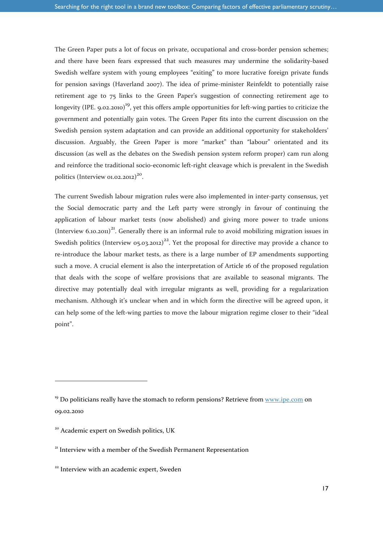The Green Paper puts a lot of focus on private, occupational and cross-border pension schemes; and there have been fears expressed that such measures may undermine the solidarity-based Swedish welfare system with young employees "exiting" to more lucrative foreign private funds for pension savings (Haverland 2007). The idea of prime-minister Reinfeldt to potentially raise retirement age to 75 links to the Green Paper's suggestion of connecting retirement age to longevity (IPE. 9.02.2010)<sup>19</sup>, yet this offers ample opportunities for left-wing parties to criticize the government and potentially gain votes. The Green Paper fits into the current discussion on the Swedish pension system adaptation and can provide an additional opportunity for stakeholders' discussion. Arguably, the Green Paper is more "market" than "labour" orientated and its discussion (as well as the debates on the Swedish pension system reform proper) cam run along and reinforce the traditional socio-economic left-right cleavage which is prevalent in the Swedish politics (Interview 01.02.2012)<sup>20</sup>.

The current Swedish labour migration rules were also implemented in inter-party consensus, yet the Social democratic party and the Left party were strongly in favour of continuing the application of labour market tests (now abolished) and giving more power to trade unions (Interview  $6.10.2011$ )<sup>21</sup>. Generally there is an informal rule to avoid mobilizing migration issues in Swedish politics (Interview 05.03.2012)<sup>22</sup>. Yet the proposal for directive may provide a chance to re-introduce the labour market tests, as there is a large number of EP amendments supporting such a move. A crucial element is also the interpretation of Article 16 of the proposed regulation that deals with the scope of welfare provisions that are available to seasonal migrants. The directive may potentially deal with irregular migrants as well, providing for a regularization mechanism. Although it's unclear when and in which form the directive will be agreed upon, it can help some of the left-wing parties to move the labour migration regime closer to their "ideal point".

 $19$  Do politicians really have the stomach to reform pensions? Retrieve from www.ipe.com on 09.02.2010

<sup>&</sup>lt;sup>20</sup> Academic expert on Swedish politics, UK

<sup>&</sup>lt;sup>21</sup> Interview with a member of the Swedish Permanent Representation

<sup>&</sup>lt;sup>22</sup> Interview with an academic expert, Sweden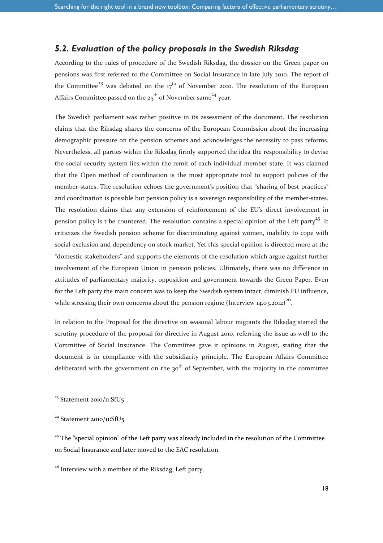### *5.2. Evaluation of the policy proposals in the Swedish Riksdag*

According to the rules of procedure of the Swedish Riksdag, the dossier on the Green paper on pensions was first referred to the Committee on Social Insurance in late July 2010. The report of the Committee<sup>23</sup> was debated on the  $17<sup>th</sup>$  of November 2010. The resolution of the European Affairs Committee passed on the  $25^{th}$  of November same<sup>24</sup> year.

The Swedish parliament was rather positive in its assessment of the document. The resolution claims that the Riksdag shares the concerns of the European Commission about the increasing demographic pressure on the pension schemes and acknowledges the necessity to pass reforms. Nevertheless, all parties within the Riksdag firmly supported the idea the responsibility to devise the social security system lies within the remit of each individual member-state. It was claimed that the Open method of coordination is the most appropriate tool to support policies of the member-states. The resolution echoes the government's position that "sharing of best practices" and coordination is possible but pension policy is a sovereign responsibility of the member-states. The resolution claims that any extension of reinforcement of the EU's direct involvement in pension policy is t be countered. The resolution contains a special opinion of the Left party<sup>25</sup>. It criticizes the Swedish pension scheme for discriminating against women, inability to cope with social exclusion and dependency on stock market. Yet this special opinion is directed more at the "domestic stakeholders" and supports the elements of the resolution which argue against further involvement of the European Union in pension policies. Ultimately, there was no difference in attitudes of parliamentary majority, opposition and government towards the Green Paper. Even for the Left party the main concern was to keep the Swedish system intact, diminish EU influence, while stressing their own concerns about the pension regime (Interview 14.03.2012)<sup>26</sup>.

In relation to the Proposal for the directive on seasonal labour migrants the Riksdag started the scrutiny procedure of the proposal for directive in August 2010, referring the issue as well to the Committee of Social Insurance. The Committee gave it opinions in August, stating that the document is in compliance with the subsidiarity principle. The European Affairs Committee deliberated with the government on the 30<sup>th</sup> of September, with the majority in the committee

 $\overline{a}$ 

<sup>26</sup> Interview with a member of the Riksdag, Left party.

<sup>&</sup>lt;sup>23</sup> Statement 2010/11:SfU<sub>5</sub>

 $24$  Statement 2010/11:SfU<sub>5</sub>

 $25$  The "special opinion" of the Left party was already included in the resolution of the Committee on Social Insurance and later moved to the EAC resolution.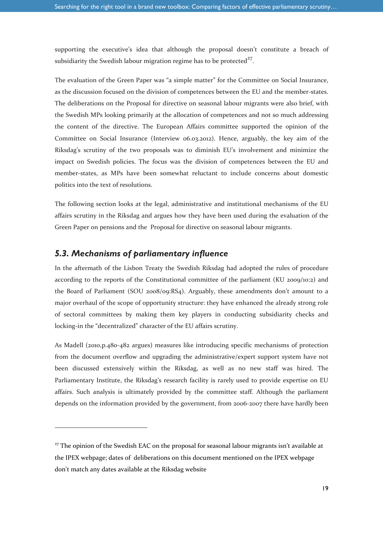supporting the executive's idea that although the proposal doesn't constitute a breach of subsidiarity the Swedish labour migration regime has to be protected $27$ .

The evaluation of the Green Paper was "a simple matter" for the Committee on Social Insurance, as the discussion focused on the division of competences between the EU and the member-states. The deliberations on the Proposal for directive on seasonal labour migrants were also brief, with the Swedish MPs looking primarily at the allocation of competences and not so much addressing the content of the directive. The European Affairs committee supported the opinion of the Committee on Social Insurance (Interview 06.03.2012). Hence, arguably, the key aim of the Riksdag's scrutiny of the two proposals was to diminish EU's involvement and minimize the impact on Swedish policies. The focus was the division of competences between the EU and member-states, as MPs have been somewhat reluctant to include concerns about domestic politics into the text of resolutions.

The following section looks at the legal, administrative and institutional mechanisms of the EU affairs scrutiny in the Riksdag and argues how they have been used during the evaluation of the Green Paper on pensions and the Proposal for directive on seasonal labour migrants.

#### *5.3. Mechanisms of parliamentary influence*

 $\overline{a}$ 

In the aftermath of the Lisbon Treaty the Swedish Riksdag had adopted the rules of procedure according to the reports of the Constitutional committee of the parliament (KU 2009/10:2) and the Board of Parliament (SOU 2008/09:RS4). Arguably, these amendments don't amount to a major overhaul of the scope of opportunity structure: they have enhanced the already strong role of sectoral committees by making them key players in conducting subsidiarity checks and locking-in the "decentralized" character of the EU affairs scrutiny.

As Madell (2010,p.480-482 argues) measures like introducing specific mechanisms of protection from the document overflow and upgrading the administrative/expert support system have not been discussed extensively within the Riksdag, as well as no new staff was hired. The Parliamentary Institute, the Riksdag's research facility is rarely used to provide expertise on EU affairs. Such analysis is ultimately provided by the committee staff. Although the parliament depends on the information provided by the government, from 2006-2007 there have hardly been

<sup>&</sup>lt;sup>27</sup> The opinion of the Swedish EAC on the proposal for seasonal labour migrants isn't available at the IPEX webpage; dates of deliberations on this document mentioned on the IPEX webpage don't match any dates available at the Riksdag website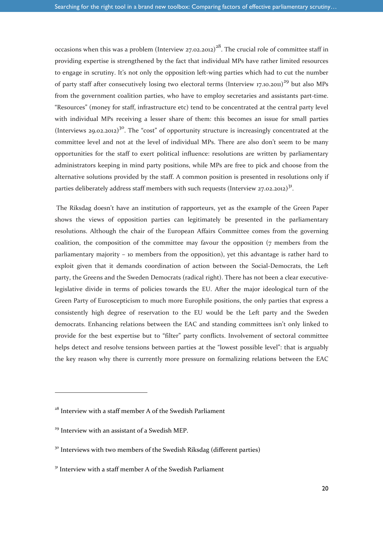occasions when this was a problem (Interview  $27.02.2012$ )<sup>28</sup>. The crucial role of committee staff in providing expertise is strengthened by the fact that individual MPs have rather limited resources to engage in scrutiny. It's not only the opposition left-wing parties which had to cut the number of party staff after consecutively losing two electoral terms (Interview 17.10.2011)<sup>29</sup> but also MPs from the government coalition parties, who have to employ secretaries and assistants part-time. "Resources" (money for staff, infrastructure etc) tend to be concentrated at the central party level with individual MPs receiving a lesser share of them: this becomes an issue for small parties (Interviews 29.02.2012)<sup>30</sup>. The "cost" of opportunity structure is increasingly concentrated at the committee level and not at the level of individual MPs. There are also don't seem to be many opportunities for the staff to exert political influence: resolutions are written by parliamentary administrators keeping in mind party positions, while MPs are free to pick and choose from the alternative solutions provided by the staff. A common position is presented in resolutions only if parties deliberately address staff members with such requests (Interview 27.02.2012)<sup>31</sup>.

 The Riksdag doesn't have an institution of rapporteurs, yet as the example of the Green Paper shows the views of opposition parties can legitimately be presented in the parliamentary resolutions. Although the chair of the European Affairs Committee comes from the governing coalition, the composition of the committee may favour the opposition (7 members from the parliamentary majority – 10 members from the opposition), yet this advantage is rather hard to exploit given that it demands coordination of action between the Social-Democrats, the Left party, the Greens and the Sweden Democrats (radical right). There has not been a clear executivelegislative divide in terms of policies towards the EU. After the major ideological turn of the Green Party of Euroscepticism to much more Europhile positions, the only parties that express a consistently high degree of reservation to the EU would be the Left party and the Sweden democrats. Enhancing relations between the EAC and standing committees isn't only linked to provide for the best expertise but to "filter" party conflicts. Involvement of sectoral committee helps detect and resolve tensions between parties at the "lowest possible level": that is arguably the key reason why there is currently more pressure on formalizing relations between the EAC

 $28$  Interview with a staff member A of the Swedish Parliament

<sup>&</sup>lt;sup>29</sup> Interview with an assistant of a Swedish MEP.

<sup>&</sup>lt;sup>30</sup> Interviews with two members of the Swedish Riksdag (different parties)

 $31$  Interview with a staff member A of the Swedish Parliament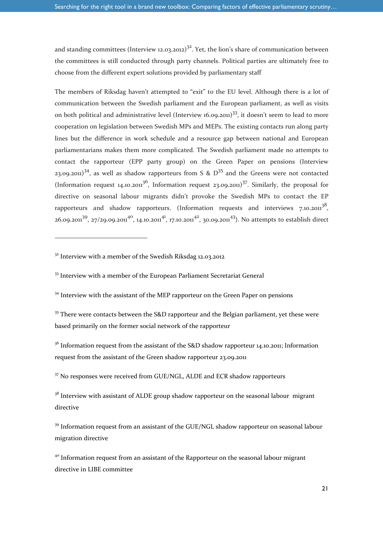and standing committees (Interview 12.03.2012)<sup>32</sup>. Yet, the lion's share of communication between the committees is still conducted through party channels. Political parties are ultimately free to choose from the different expert solutions provided by parliamentary staff

The members of Riksdag haven't attempted to "exit" to the EU level. Although there is a lot of communication between the Swedish parliament and the European parliament, as well as visits on both political and administrative level (Interview 16.09.2011)<sup>33</sup>, it doesn't seem to lead to more cooperation on legislation between Swedish MPs and MEPs. The existing contacts run along party lines but the difference in work schedule and a resource gap between national and European parliamentarians makes them more complicated. The Swedish parliament made no attempts to contact the rapporteur (EPP party group) on the Green Paper on pensions (Interview 23.09.2011)<sup>34</sup>, as well as shadow rapporteurs from S &  $D^{35}$  and the Greens were not contacted (Information request 14.10.2011<sup>36</sup>, Information request 23.09.2011)<sup>37</sup>. Similarly, the proposal for directive on seasonal labour migrants didn't provoke the Swedish MPs to contact the EP rapporteurs and shadow rapporteurs. (Information requests and interviews  $7.10.2011^{38}$ ,  $26.09.2011^{39}$ , 27/29.09.2011<sup>40</sup>, 14.10.2011<sup>41</sup>, 17.10.2011<sup>42</sup>, 30.09.2011<sup>43</sup>). No attempts to establish direct

<sup>32</sup> Interview with a member of the Swedish Riksdag 12.03.2012

l

<sup>33</sup> Interview with a member of the European Parliament Secretariat General

<sup>34</sup> Interview with the assistant of the MEP rapporteur on the Green Paper on pensions

 $35$  There were contacts between the S&D rapporteur and the Belgian parliament, yet these were based primarily on the former social network of the rapporteur

 $36$  Information request from the assistant of the S&D shadow rapporteur 14.10.2011; Information request from the assistant of the Green shadow rapporteur 23.09.2011

<sup>37</sup> No responses were received from GUE/NGL, ALDE and ECR shadow rapporteurs

 $38$  Interview with assistant of ALDE group shadow rapporteur on the seasonal labour migrant directive

 $39$  Information request from an assistant of the GUE/NGL shadow rapporteur on seasonal labour migration directive

<sup>40</sup> Information request from an assistant of the Rapporteur on the seasonal labour migrant directive in LIBE committee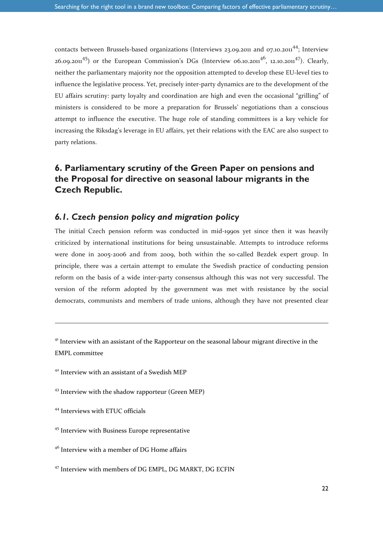contacts between Brussels-based organizations (Interviews 23.09.2011 and 07.10.2011<sup>44</sup>; Interview 26.09.2011<sup>45</sup>) or the European Commission's DGs (Interview 06.10.2011<sup>46</sup>, 12.10.2011<sup>47</sup>). Clearly, neither the parliamentary majority nor the opposition attempted to develop these EU-level ties to influence the legislative process. Yet, precisely inter-party dynamics are to the development of the EU affairs scrutiny: party loyalty and coordination are high and even the occasional "grilling" of ministers is considered to be more a preparation for Brussels' negotiations than a conscious attempt to influence the executive. The huge role of standing committees is a key vehicle for increasing the Riksdag's leverage in EU affairs, yet their relations with the EAC are also suspect to party relations.

### **6. Parliamentary scrutiny of the Green Paper on pensions and the Proposal for directive on seasonal labour migrants in the Czech Republic.**

#### *6.1. Czech pension policy and migration policy*

The initial Czech pension reform was conducted in mid-1990s yet since then it was heavily criticized by international institutions for being unsustainable. Attempts to introduce reforms were done in 2005-2006 and from 2009, both within the so-called Bezdek expert group. In principle, there was a certain attempt to emulate the Swedish practice of conducting pension reform on the basis of a wide inter-party consensus although this was not very successful. The version of the reform adopted by the government was met with resistance by the social democrats, communists and members of trade unions, although they have not presented clear

<sup>41</sup> Interview with an assistant of the Rapporteur on the seasonal labour migrant directive in the EMPL committee

- <sup>42</sup> Interview with an assistant of a Swedish MEP
- <sup>43</sup> Interview with the shadow rapporteur (Green MEP)
- <sup>44</sup> Interviews with ETUC officials

-

- <sup>45</sup> Interview with Business Europe representative
- <sup>46</sup> Interview with a member of DG Home affairs
- <sup>47</sup> Interview with members of DG EMPL, DG MARKT, DG ECFIN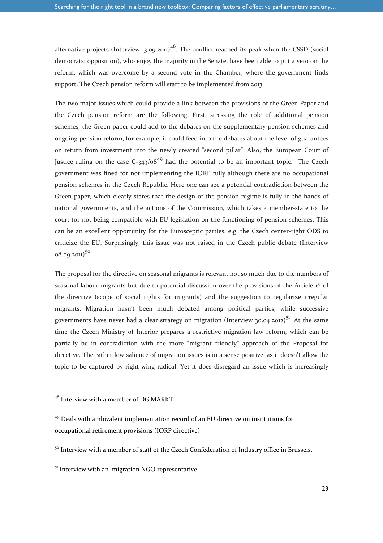alternative projects (Interview 13.09.2011)<sup>48</sup>. The conflict reached its peak when the CSSD (social democrats; opposition), who enjoy the majority in the Senate, have been able to put a veto on the reform, which was overcome by a second vote in the Chamber, where the government finds support. The Czech pension reform will start to be implemented from 2013

The two major issues which could provide a link between the provisions of the Green Paper and the Czech pension reform are the following. First, stressing the role of additional pension schemes, the Green paper could add to the debates on the supplementary pension schemes and ongoing pension reform; for example, it could feed into the debates about the level of guarantees on return from investment into the newly created "second pillar". Also, the European Court of Justice ruling on the case  $C$ -343/08<sup>49</sup> had the potential to be an important topic. The Czech government was fined for not implementing the IORP fully although there are no occupational pension schemes in the Czech Republic. Here one can see a potential contradiction between the Green paper, which clearly states that the design of the pension regime is fully in the hands of national governments, and the actions of the Commission, which takes a member-state to the court for not being compatible with EU legislation on the functioning of pension schemes. This can be an excellent opportunity for the Eurosceptic parties, e.g. the Czech center-right ODS to criticize the EU. Surprisingly, this issue was not raised in the Czech public debate (Interview  $08.09.2011$ <sup>50</sup>.

The proposal for the directive on seasonal migrants is relevant not so much due to the numbers of seasonal labour migrants but due to potential discussion over the provisions of the Article 16 of the directive (scope of social rights for migrants) and the suggestion to regularize irregular migrants. Migration hasn't been much debated among political parties, while successive governments have never had a clear strategy on migration (Interview 30.04.2012)<sup>51</sup>. At the same time the Czech Ministry of Interior prepares a restrictive migration law reform, which can be partially be in contradiction with the more "migrant friendly" approach of the Proposal for directive. The rather low salience of migration issues is in a sense positive, as it doesn't allow the topic to be captured by right-wing radical. Yet it does disregard an issue which is increasingly

 $48$  Interview with a member of DG MARKT

<sup>49</sup> Deals with ambivalent implementation record of an EU directive on institutions for occupational retirement provisions (IORP directive)

<sup>&</sup>lt;sup>50</sup> Interview with a member of staff of the Czech Confederation of Industry office in Brussels.

 $51$  Interview with an migration NGO representative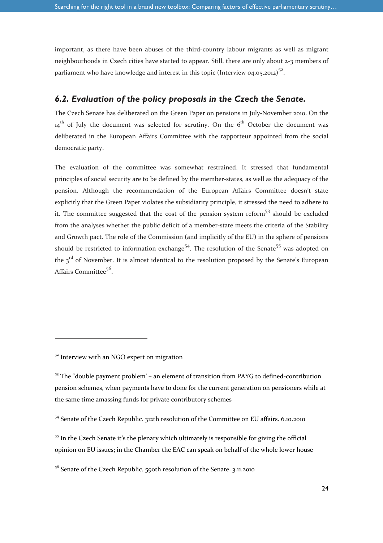important, as there have been abuses of the third-country labour migrants as well as migrant neighbourhoods in Czech cities have started to appear. Still, there are only about 2-3 members of parliament who have knowledge and interest in this topic (Interview 04.05.2012)<sup>52</sup>.

### *6.2. Evaluation of the policy proposals in the Czech the Senate.*

The Czech Senate has deliberated on the Green Paper on pensions in July-November 2010. On the  $14<sup>th</sup>$  of July the document was selected for scrutiny. On the 6<sup>th</sup> October the document was deliberated in the European Affairs Committee with the rapporteur appointed from the social democratic party.

The evaluation of the committee was somewhat restrained. It stressed that fundamental principles of social security are to be defined by the member-states, as well as the adequacy of the pension. Although the recommendation of the European Affairs Committee doesn't state explicitly that the Green Paper violates the subsidiarity principle, it stressed the need to adhere to it. The committee suggested that the cost of the pension system reform $53$  should be excluded from the analyses whether the public deficit of a member-state meets the criteria of the Stability and Growth pact. The role of the Commission (and implicitly of the EU) in the sphere of pensions should be restricted to information exchange<sup>54</sup>. The resolution of the Senate<sup>55</sup> was adopted on the  $3<sup>rd</sup>$  of November. It is almost identical to the resolution proposed by the Senate's European Affairs Committee<sup>56</sup>.

l

 $5<sup>2</sup>$  Interview with an NGO expert on migration

<sup>&</sup>lt;sup>53</sup> The "double payment problem' – an element of transition from PAYG to defined-contribution pension schemes, when payments have to done for the current generation on pensioners while at the same time amassing funds for private contributory schemes

<sup>54</sup> Senate of the Czech Republic. 312th resolution of the Committee on EU affairs. 6.10.2010

<sup>&</sup>lt;sup>55</sup> In the Czech Senate it's the plenary which ultimately is responsible for giving the official opinion on EU issues; in the Chamber the EAC can speak on behalf of the whole lower house

<sup>&</sup>lt;sup>56</sup> Senate of the Czech Republic. 590th resolution of the Senate. 3.11.2010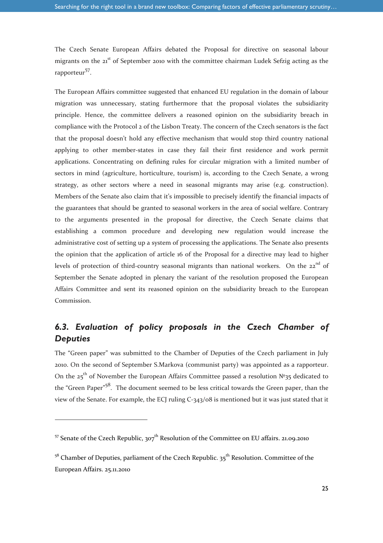The Czech Senate European Affairs debated the Proposal for directive on seasonal labour migrants on the 21<sup>st</sup> of September 2010 with the committee chairman Ludek Sefzig acting as the rapporteur<sup>57</sup>.

The European Affairs committee suggested that enhanced EU regulation in the domain of labour migration was unnecessary, stating furthermore that the proposal violates the subsidiarity principle. Hence, the committee delivers a reasoned opinion on the subsidiarity breach in compliance with the Protocol 2 of the Lisbon Treaty. The concern of the Czech senators is the fact that the proposal doesn't hold any effective mechanism that would stop third country national applying to other member-states in case they fail their first residence and work permit applications. Concentrating on defining rules for circular migration with a limited number of sectors in mind (agriculture, horticulture, tourism) is, according to the Czech Senate, a wrong strategy, as other sectors where a need in seasonal migrants may arise (e.g. construction). Members of the Senate also claim that it's impossible to precisely identify the financial impacts of the guarantees that should be granted to seasonal workers in the area of social welfare. Contrary to the arguments presented in the proposal for directive, the Czech Senate claims that establishing a common procedure and developing new regulation would increase the administrative cost of setting up a system of processing the applications. The Senate also presents the opinion that the application of article 16 of the Proposal for a directive may lead to higher levels of protection of third-country seasonal migrants than national workers. On the 22<sup>nd</sup> of September the Senate adopted in plenary the variant of the resolution proposed the European Affairs Committee and sent its reasoned opinion on the subsidiarity breach to the European Commission.

### *6.3. Evaluation of policy proposals in the Czech Chamber of Deputies*

The "Green paper" was submitted to the Chamber of Deputies of the Czech parliament in July 2010. On the second of September S.Markova (communist party) was appointed as a rapporteur. On the 25<sup>th</sup> of November the European Affairs Committee passed a resolution Nº35 dedicated to the "Green Paper"<sup>58</sup>. The document seemed to be less critical towards the Green paper, than the view of the Senate. For example, the ECJ ruling C-343/08 is mentioned but it was just stated that it

<sup>&</sup>lt;sup>57</sup> Senate of the Czech Republic,  $307<sup>th</sup>$  Resolution of the Committee on EU affairs. 21.09.2010

 $5^8$  Chamber of Deputies, parliament of the Czech Republic.  $35^{\text{th}}$  Resolution. Committee of the European Affairs. 25.11.2010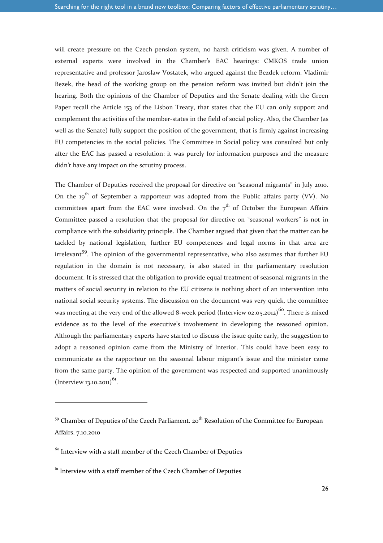will create pressure on the Czech pension system, no harsh criticism was given. A number of external experts were involved in the Chamber's EAC hearings: CMKOS trade union representative and professor Jaroslaw Vostatek, who argued against the Bezdek reform. Vladimir Bezek, the head of the working group on the pension reform was invited but didn't join the hearing. Both the opinions of the Chamber of Deputies and the Senate dealing with the Green Paper recall the Article 153 of the Lisbon Treaty, that states that the EU can only support and complement the activities of the member-states in the field of social policy. Also, the Chamber (as well as the Senate) fully support the position of the government, that is firmly against increasing EU competencies in the social policies. The Committee in Social policy was consulted but only after the EAC has passed a resolution: it was purely for information purposes and the measure didn't have any impact on the scrutiny process.

The Chamber of Deputies received the proposal for directive on "seasonal migrants" in July 2010. On the  $19^{th}$  of September a rapporteur was adopted from the Public affairs party (VV). No committees apart from the EAC were involved. On the  $7<sup>th</sup>$  of October the European Affairs Committee passed a resolution that the proposal for directive on "seasonal workers" is not in compliance with the subsidiarity principle. The Chamber argued that given that the matter can be tackled by national legislation, further EU competences and legal norms in that area are irrelevant<sup>59</sup>. The opinion of the governmental representative, who also assumes that further EU regulation in the domain is not necessary, is also stated in the parliamentary resolution document. It is stressed that the obligation to provide equal treatment of seasonal migrants in the matters of social security in relation to the EU citizens is nothing short of an intervention into national social security systems. The discussion on the document was very quick, the committee was meeting at the very end of the allowed 8-week period (Interview 02.05.2012)<sup>60</sup>. There is mixed evidence as to the level of the executive's involvement in developing the reasoned opinion. Although the parliamentary experts have started to discuss the issue quite early, the suggestion to adopt a reasoned opinion came from the Ministry of Interior. This could have been easy to communicate as the rapporteur on the seasonal labour migrant's issue and the minister came from the same party. The opinion of the government was respected and supported unanimously  $(Interview13.10.2011)^{61}$ .

l

<sup>&</sup>lt;sup>59</sup> Chamber of Deputies of the Czech Parliament. 20<sup>th</sup> Resolution of the Committee for European Affairs. 7.10.2010

<sup>&</sup>lt;sup>60</sup> Interview with a staff member of the Czech Chamber of Deputies

 $61$  Interview with a staff member of the Czech Chamber of Deputies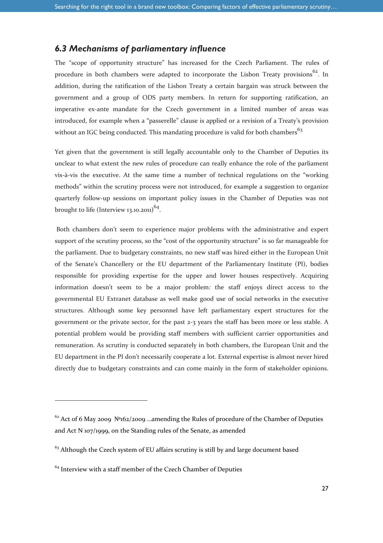### *6.3 Mechanisms of parliamentary influence*

The "scope of opportunity structure" has increased for the Czech Parliament. The rules of procedure in both chambers were adapted to incorporate the Lisbon Treaty provisions<sup>62</sup>. In addition, during the ratification of the Lisbon Treaty a certain bargain was struck between the government and a group of ODS party members. In return for supporting ratification, an imperative ex-ante mandate for the Czech government in a limited number of areas was introduced, for example when a "passerelle" clause is applied or a revision of a Treaty's provision without an IGC being conducted. This mandating procedure is valid for both chambers<sup>63</sup>

Yet given that the government is still legally accountable only to the Chamber of Deputies its unclear to what extent the new rules of procedure can really enhance the role of the parliament vis-à-vis the executive. At the same time a number of technical regulations on the "working methods" within the scrutiny process were not introduced, for example a suggestion to organize quarterly follow-up sessions on important policy issues in the Chamber of Deputies was not brought to life (Interview 13.10.2011)<sup>64</sup>.

 Both chambers don't seem to experience major problems with the administrative and expert support of the scrutiny process, so the "cost of the opportunity structure" is so far manageable for the parliament. Due to budgetary constraints, no new staff was hired either in the European Unit of the Senate's Chancellery or the EU department of the Parliamentary Institute (PI), bodies responsible for providing expertise for the upper and lower houses respectively. Acquiring information doesn't seem to be a major problem: the staff enjoys direct access to the governmental EU Extranet database as well make good use of social networks in the executive structures. Although some key personnel have left parliamentary expert structures for the government or the private sector, for the past 2-3 years the staff has been more or less stable. A potential problem would be providing staff members with sufficient carrier opportunities and remuneration. As scrutiny is conducted separately in both chambers, the European Unit and the EU department in the PI don't necessarily cooperate a lot. External expertise is almost never hired directly due to budgetary constraints and can come mainly in the form of stakeholder opinions.

 $62$  Act of 6 May 2009  $\mathbb{N}^2$ 162/2009 …amending the Rules of procedure of the Chamber of Deputies and Act N 107/1999, on the Standing rules of the Senate, as amended

 $63$  Although the Czech system of EU affairs scrutiny is still by and large document based

 $64$  Interview with a staff member of the Czech Chamber of Deputies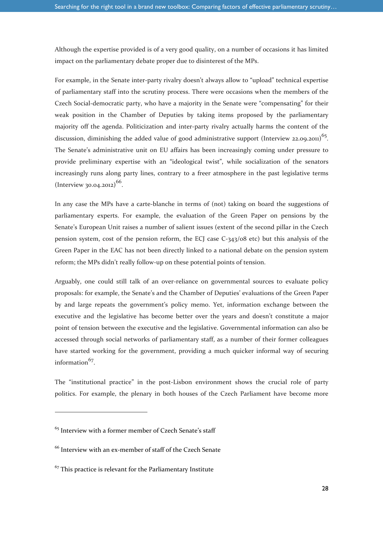Although the expertise provided is of a very good quality, on a number of occasions it has limited impact on the parliamentary debate proper due to disinterest of the MPs.

For example, in the Senate inter-party rivalry doesn't always allow to "upload" technical expertise of parliamentary staff into the scrutiny process. There were occasions when the members of the Czech Social-democratic party, who have a majority in the Senate were "compensating" for their weak position in the Chamber of Deputies by taking items proposed by the parliamentary majority off the agenda. Politicization and inter-party rivalry actually harms the content of the discussion, diminishing the added value of good administrative support (Interview 22.09.2011)<sup>65</sup>. The Senate's administrative unit on EU affairs has been increasingly coming under pressure to provide preliminary expertise with an "ideological twist", while socialization of the senators increasingly runs along party lines, contrary to a freer atmosphere in the past legislative terms  $\left(\text{Interview } 30.04.2012\right)^{66}$ .

In any case the MPs have a carte-blanche in terms of (not) taking on board the suggestions of parliamentary experts. For example, the evaluation of the Green Paper on pensions by the Senate's European Unit raises a number of salient issues (extent of the second pillar in the Czech pension system, cost of the pension reform, the ECJ case C-343/08 etc) but this analysis of the Green Paper in the EAC has not been directly linked to a national debate on the pension system reform; the MPs didn't really follow-up on these potential points of tension.

Arguably, one could still talk of an over-reliance on governmental sources to evaluate policy proposals: for example, the Senate's and the Chamber of Deputies' evaluations of the Green Paper by and large repeats the government's policy memo. Yet, information exchange between the executive and the legislative has become better over the years and doesn't constitute a major point of tension between the executive and the legislative. Governmental information can also be accessed through social networks of parliamentary staff, as a number of their former colleagues have started working for the government, providing a much quicker informal way of securing information<sup>67</sup>.

The "institutional practice" in the post-Lisbon environment shows the crucial role of party politics. For example, the plenary in both houses of the Czech Parliament have become more

 $65$  Interview with a former member of Czech Senate's staff

<sup>66</sup> Interview with an ex-member of staff of the Czech Senate

 $67$  This practice is relevant for the Parliamentary Institute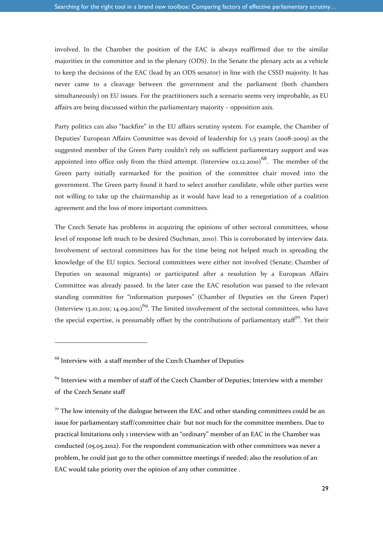involved. In the Chamber the position of the EAC is always reaffirmed due to the similar majorities in the committee and in the plenary (ODS). In the Senate the plenary acts as a vehicle to keep the decisions of the EAC (lead by an ODS senator) in line with the CSSD majority. It has never came to a cleavage between the government and the parliament (both chambers simultaneously) on EU issues. For the practitioners such a scenario seems very improbable, as EU affairs are being discussed within the parliamentary majority – opposition axis.

Party politics can also "backfire" in the EU affairs scrutiny system. For example, the Chamber of Deputies' European Affairs Committee was devoid of leadership for 1,5 years (2008-2009) as the suggested member of the Green Party couldn't rely on sufficient parliamentary support and was appointed into office only from the third attempt. (Interview 02.12.2010)<sup>68</sup>. The member of the Green party initially earmarked for the position of the committee chair moved into the government. The Green party found it hard to select another candidate, while other parties were not willing to take up the chairmanship as it would have lead to a renegotiation of a coalition agreement and the loss of more important committees.

The Czech Senate has problems in acquiring the opinions of other sectoral committees, whose level of response left much to be desired (Suchman, 2010). This is corroborated by interview data. Involvement of sectoral committees has for the time being not helped much in spreading the knowledge of the EU topics. Sectoral committees were either not involved (Senate; Chamber of Deputies on seasonal migrants) or participated after a resolution by a European Affairs Committee was already passed. In the later case the EAC resolution was passed to the relevant standing committee for "information purposes" (Chamber of Deputies on the Green Paper) (Interview 13.10.2011; 14.09.2011)<sup>69</sup>. The limited involvement of the sectoral committees, who have the special expertise, is presumably offset by the contributions of parliamentary staff<sup>70</sup>. Yet their

l

 $68$  Interview with a staff member of the Czech Chamber of Deputies

 $69$  Interview with a member of staff of the Czech Chamber of Deputies; Interview with a member of the Czech Senate staff

 $7°$  The low intensity of the dialogue between the EAC and other standing committees could be an issue for parliamentary staff/committee chair but not much for the committee members. Due to practical limitations only 1 interview with an "ordinary" member of an EAC in the Chamber was conducted (05.05.2012). For the respondent communication with other committees was never a problem, he could just go to the other committee meetings if needed; also the resolution of an EAC would take priority over the opinion of any other committee .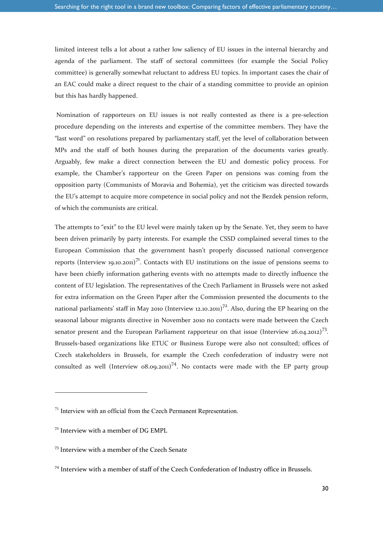limited interest tells a lot about a rather low saliency of EU issues in the internal hierarchy and agenda of the parliament. The staff of sectoral committees (for example the Social Policy committee) is generally somewhat reluctant to address EU topics. In important cases the chair of an EAC could make a direct request to the chair of a standing committee to provide an opinion but this has hardly happened.

 Nomination of rapporteurs on EU issues is not really contested as there is a pre-selection procedure depending on the interests and expertise of the committee members. They have the "last word" on resolutions prepared by parliamentary staff, yet the level of collaboration between MPs and the staff of both houses during the preparation of the documents varies greatly. Arguably, few make a direct connection between the EU and domestic policy process. For example, the Chamber's rapporteur on the Green Paper on pensions was coming from the opposition party (Communists of Moravia and Bohemia), yet the criticism was directed towards the EU's attempt to acquire more competence in social policy and not the Bezdek pension reform, of which the communists are critical.

The attempts to "exit" to the EU level were mainly taken up by the Senate. Yet, they seem to have been driven primarily by party interests. For example the CSSD complained several times to the European Commission that the government hasn't properly discussed national convergence reports (Interview 19.10.2011)<sup>71</sup>. Contacts with EU institutions on the issue of pensions seems to have been chiefly information gathering events with no attempts made to directly influence the content of EU legislation. The representatives of the Czech Parliament in Brussels were not asked for extra information on the Green Paper after the Commission presented the documents to the national parliaments' staff in May 2010 (Interview 12.10.2011)<sup>72</sup>. Also, during the EP hearing on the seasonal labour migrants directive in November 2010 no contacts were made between the Czech senator present and the European Parliament rapporteur on that issue (Interview 26.04.2012)<sup>73</sup>. Brussels-based organizations like ETUC or Business Europe were also not consulted; offices of Czech stakeholders in Brussels, for example the Czech confederation of industry were not consulted as well (Interview  $0.09(0.201)^{7/4}$ . No contacts were made with the EP party group

 $71$  Interview with an official from the Czech Permanent Representation.

 $72$  Interview with a member of DG EMPL

<sup>73</sup> Interview with a member of the Czech Senate

<sup>74</sup> Interview with a member of staff of the Czech Confederation of Industry office in Brussels.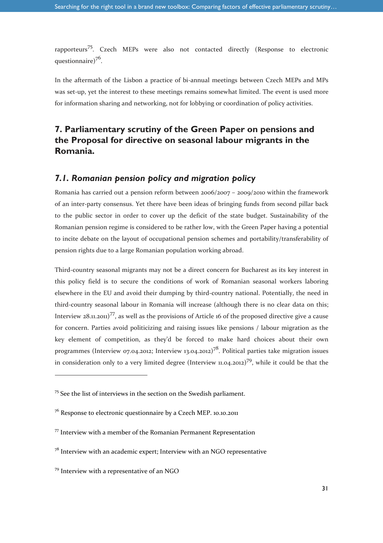rapporteurs<sup>75</sup>. Czech MEPs were also not contacted directly (Response to electronic questionnaire)<sup>76</sup>.

In the aftermath of the Lisbon a practice of bi-annual meetings between Czech MEPs and MPs was set-up, yet the interest to these meetings remains somewhat limited. The event is used more for information sharing and networking, not for lobbying or coordination of policy activities.

### **7. Parliamentary scrutiny of the Green Paper on pensions and the Proposal for directive on seasonal labour migrants in the Romania.**

#### *7.1. Romanian pension policy and migration policy*

Romania has carried out a pension reform between 2006/2007 – 2009/2010 within the framework of an inter-party consensus. Yet there have been ideas of bringing funds from second pillar back to the public sector in order to cover up the deficit of the state budget. Sustainability of the Romanian pension regime is considered to be rather low, with the Green Paper having a potential to incite debate on the layout of occupational pension schemes and portability/transferability of pension rights due to a large Romanian population working abroad.

Third-country seasonal migrants may not be a direct concern for Bucharest as its key interest in this policy field is to secure the conditions of work of Romanian seasonal workers laboring elsewhere in the EU and avoid their dumping by third-country national. Potentially, the need in third-country seasonal labour in Romania will increase (although there is no clear data on this; Interview  $28.11.201$ <sup>77</sup>, as well as the provisions of Article 16 of the proposed directive give a cause for concern. Parties avoid politicizing and raising issues like pensions / labour migration as the key element of competition, as they'd be forced to make hard choices about their own programmes (Interview 07.04.2012; Interview 13.04.2012)<sup>78</sup>. Political parties take migration issues in consideration only to a very limited degree (Interview 11.04.2012)<sup>79</sup>, while it could be that the

l

<sup>75</sup> See the list of interviews in the section on the Swedish parliament.

<sup>76</sup> Response to electronic questionnaire by a Czech MEP. 10.10.2011

 $77$  Interview with a member of the Romanian Permanent Representation

 $7<sup>8</sup>$  Interview with an academic expert; Interview with an NGO representative

<sup>79</sup> Interview with a representative of an NGO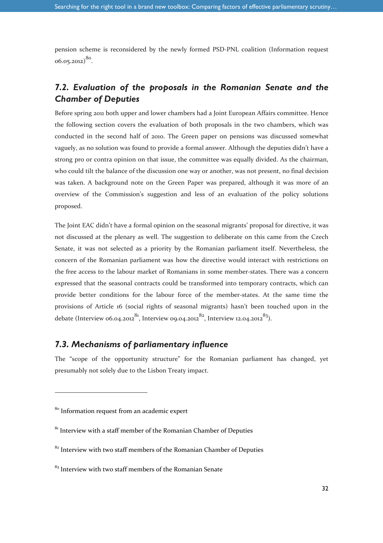pension scheme is reconsidered by the newly formed PSD-PNL coalition (Information request  $(6.05.2012)^{80}$ .

### *7.2. Evaluation of the proposals in the Romanian Senate and the Chamber of Deputies*

Before spring 2011 both upper and lower chambers had a Joint European Affairs committee. Hence the following section covers the evaluation of both proposals in the two chambers, which was conducted in the second half of 2010. The Green paper on pensions was discussed somewhat vaguely, as no solution was found to provide a formal answer. Although the deputies didn't have a strong pro or contra opinion on that issue, the committee was equally divided. As the chairman, who could tilt the balance of the discussion one way or another, was not present, no final decision was taken. A background note on the Green Paper was prepared, although it was more of an overview of the Commission's suggestion and less of an evaluation of the policy solutions proposed.

The Joint EAC didn't have a formal opinion on the seasonal migrants' proposal for directive, it was not discussed at the plenary as well. The suggestion to deliberate on this came from the Czech Senate, it was not selected as a priority by the Romanian parliament itself. Nevertheless, the concern of the Romanian parliament was how the directive would interact with restrictions on the free access to the labour market of Romanians in some member-states. There was a concern expressed that the seasonal contracts could be transformed into temporary contracts, which can provide better conditions for the labour force of the member-states. At the same time the provisions of Article 16 (social rights of seasonal migrants) hasn't been touched upon in the debate (Interview 06.04.2012<sup>81</sup>, Interview 09.04.2012<sup>82</sup>, Interview 12.04.2012<sup>83</sup>).

### *7.3. Mechanisms of parliamentary influence*

The "scope of the opportunity structure" for the Romanian parliament has changed, yet presumably not solely due to the Lisbon Treaty impact.

1

<sup>&</sup>lt;sup>80</sup> Information request from an academic expert

 $81$ <sup>81</sup> Interview with a staff member of the Romanian Chamber of Deputies

 $82$  Interview with two staff members of the Romanian Chamber of Deputies

 $83$  Interview with two staff members of the Romanian Senate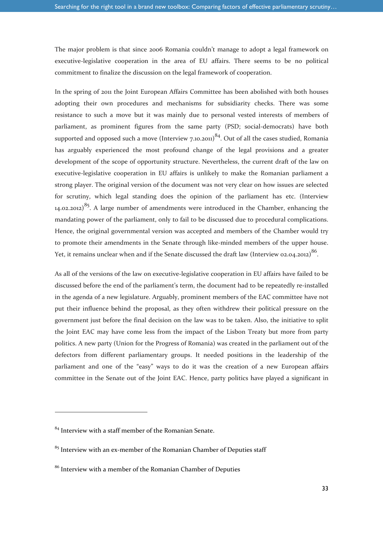The major problem is that since 2006 Romania couldn't manage to adopt a legal framework on executive-legislative cooperation in the area of EU affairs. There seems to be no political commitment to finalize the discussion on the legal framework of cooperation.

In the spring of 2011 the Joint European Affairs Committee has been abolished with both houses adopting their own procedures and mechanisms for subsidiarity checks. There was some resistance to such a move but it was mainly due to personal vested interests of members of parliament, as prominent figures from the same party (PSD; social-democrats) have both supported and opposed such a move (Interview 7.10.2011)<sup>84</sup>. Out of all the cases studied, Romania has arguably experienced the most profound change of the legal provisions and a greater development of the scope of opportunity structure. Nevertheless, the current draft of the law on executive-legislative cooperation in EU affairs is unlikely to make the Romanian parliament a strong player. The original version of the document was not very clear on how issues are selected for scrutiny, which legal standing does the opinion of the parliament has etc. (Interview 14.02.2012)<sup>85</sup>. A large number of amendments were introduced in the Chamber, enhancing the mandating power of the parliament, only to fail to be discussed due to procedural complications. Hence, the original governmental version was accepted and members of the Chamber would try to promote their amendments in the Senate through like-minded members of the upper house. Yet, it remains unclear when and if the Senate discussed the draft law (Interview 02.04.2012) $^{86}$ .

As all of the versions of the law on executive-legislative cooperation in EU affairs have failed to be discussed before the end of the parliament's term, the document had to be repeatedly re-installed in the agenda of a new legislature. Arguably, prominent members of the EAC committee have not put their influence behind the proposal, as they often withdrew their political pressure on the government just before the final decision on the law was to be taken. Also, the initiative to split the Joint EAC may have come less from the impact of the Lisbon Treaty but more from party politics. A new party (Union for the Progress of Romania) was created in the parliament out of the defectors from different parliamentary groups. It needed positions in the leadership of the parliament and one of the "easy" ways to do it was the creation of a new European affairs committee in the Senate out of the Joint EAC. Hence, party politics have played a significant in

<sup>84</sup> Interview with a staff member of the Romanian Senate.

 $85$  Interview with an ex-member of the Romanian Chamber of Deputies staff

<sup>86</sup> Interview with a member of the Romanian Chamber of Deputies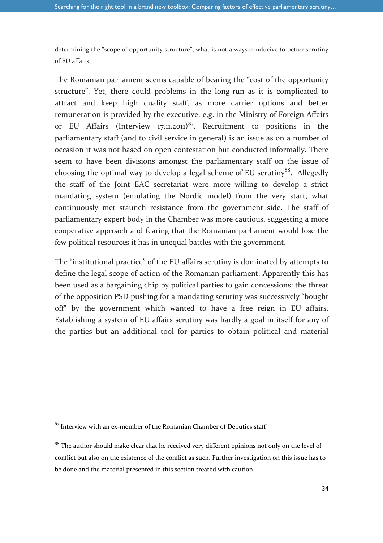determining the "scope of opportunity structure", what is not always conducive to better scrutiny of EU affairs.

The Romanian parliament seems capable of bearing the "cost of the opportunity structure". Yet, there could problems in the long-run as it is complicated to attract and keep high quality staff, as more carrier options and better remuneration is provided by the executive, e,g. in the Ministry of Foreign Affairs or EU Affairs (Interview 17.11.2011)<sup>87</sup>. Recruitment to positions in the parliamentary staff (and to civil service in general) is an issue as on a number of occasion it was not based on open contestation but conducted informally. There seem to have been divisions amongst the parliamentary staff on the issue of choosing the optimal way to develop a legal scheme of EU scrutiny<sup>88</sup>. Allegedly the staff of the Joint EAC secretariat were more willing to develop a strict mandating system (emulating the Nordic model) from the very start, what continuously met staunch resistance from the government side. The staff of parliamentary expert body in the Chamber was more cautious, suggesting a more cooperative approach and fearing that the Romanian parliament would lose the few political resources it has in unequal battles with the government.

The "institutional practice" of the EU affairs scrutiny is dominated by attempts to define the legal scope of action of the Romanian parliament. Apparently this has been used as a bargaining chip by political parties to gain concessions: the threat of the opposition PSD pushing for a mandating scrutiny was successively "bought off" by the government which wanted to have a free reign in EU affairs. Establishing a system of EU affairs scrutiny was hardly a goal in itself for any of the parties but an additional tool for parties to obtain political and material

 $87$  Interview with an ex-member of the Romanian Chamber of Deputies staff

<sup>&</sup>lt;sup>88</sup> The author should make clear that he received very different opinions not only on the level of conflict but also on the existence of the conflict as such. Further investigation on this issue has to be done and the material presented in this section treated with caution.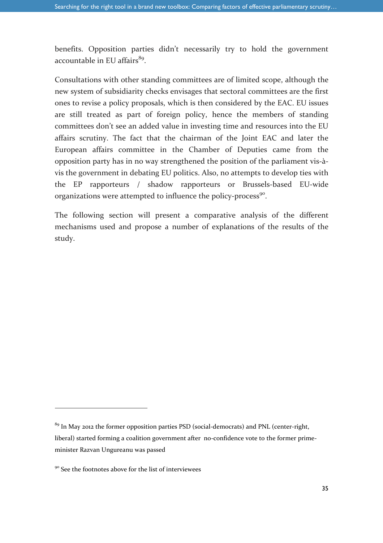benefits. Opposition parties didn't necessarily try to hold the government accountable in EU affairs<sup>89</sup>.

Consultations with other standing committees are of limited scope, although the new system of subsidiarity checks envisages that sectoral committees are the first ones to revise a policy proposals, which is then considered by the EAC. EU issues are still treated as part of foreign policy, hence the members of standing committees don't see an added value in investing time and resources into the EU affairs scrutiny. The fact that the chairman of the Joint EAC and later the European affairs committee in the Chamber of Deputies came from the opposition party has in no way strengthened the position of the parliament vis-àvis the government in debating EU politics. Also, no attempts to develop ties with the EP rapporteurs / shadow rapporteurs or Brussels-based EU-wide organizations were attempted to influence the policy-process<sup>90</sup>.

The following section will present a comparative analysis of the different mechanisms used and propose a number of explanations of the results of the study.

 $89$  In May 2012 the former opposition parties PSD (social-democrats) and PNL (center-right, liberal) started forming a coalition government after no-confidence vote to the former primeminister Razvan Ungureanu was passed

<sup>&</sup>lt;sup>90</sup> See the footnotes above for the list of interviewees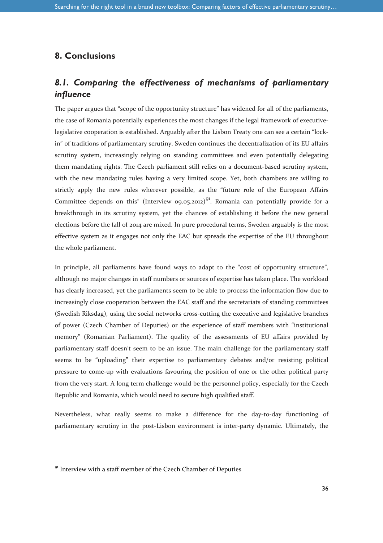### **8. Conclusions**

### *8.1. Comparing the effectiveness of mechanisms of parliamentary influence*

The paper argues that "scope of the opportunity structure" has widened for all of the parliaments, the case of Romania potentially experiences the most changes if the legal framework of executivelegislative cooperation is established. Arguably after the Lisbon Treaty one can see a certain "lockin" of traditions of parliamentary scrutiny. Sweden continues the decentralization of its EU affairs scrutiny system, increasingly relying on standing committees and even potentially delegating them mandating rights. The Czech parliament still relies on a document-based scrutiny system, with the new mandating rules having a very limited scope. Yet, both chambers are willing to strictly apply the new rules wherever possible, as the "future role of the European Affairs Committee depends on this" (Interview 09.05.2012)<sup>91</sup>. Romania can potentially provide for a breakthrough in its scrutiny system, yet the chances of establishing it before the new general elections before the fall of 2014 are mixed. In pure procedural terms, Sweden arguably is the most effective system as it engages not only the EAC but spreads the expertise of the EU throughout the whole parliament.

In principle, all parliaments have found ways to adapt to the "cost of opportunity structure", although no major changes in staff numbers or sources of expertise has taken place. The workload has clearly increased, yet the parliaments seem to be able to process the information flow due to increasingly close cooperation between the EAC staff and the secretariats of standing committees (Swedish Riksdag), using the social networks cross-cutting the executive and legislative branches of power (Czech Chamber of Deputies) or the experience of staff members with "institutional memory" (Romanian Parliament). The quality of the assessments of EU affairs provided by parliamentary staff doesn't seem to be an issue. The main challenge for the parliamentary staff seems to be "uploading" their expertise to parliamentary debates and/or resisting political pressure to come-up with evaluations favouring the position of one or the other political party from the very start. A long term challenge would be the personnel policy, especially for the Czech Republic and Romania, which would need to secure high qualified staff.

Nevertheless, what really seems to make a difference for the day-to-day functioning of parliamentary scrutiny in the post-Lisbon environment is inter-party dynamic. Ultimately, the

 $91$  Interview with a staff member of the Czech Chamber of Deputies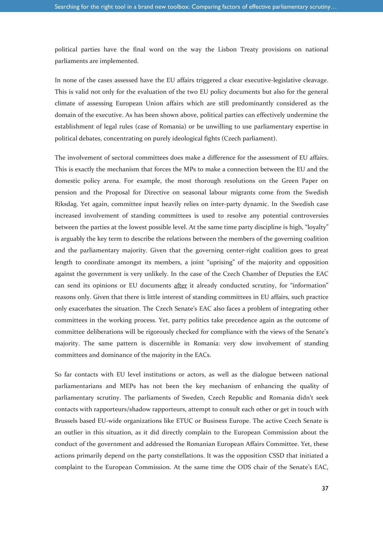political parties have the final word on the way the Lisbon Treaty provisions on national parliaments are implemented.

In none of the cases assessed have the EU affairs triggered a clear executive-legislative cleavage. This is valid not only for the evaluation of the two EU policy documents but also for the general climate of assessing European Union affairs which are still predominantly considered as the domain of the executive. As has been shown above, political parties can effectively undermine the establishment of legal rules (case of Romania) or be unwilling to use parliamentary expertise in political debates, concentrating on purely ideological fights (Czech parliament).

The involvement of sectoral committees does make a difference for the assessment of EU affairs. This is exactly the mechanism that forces the MPs to make a connection between the EU and the domestic policy arena. For example, the most thorough resolutions on the Green Paper on pension and the Proposal for Directive on seasonal labour migrants come from the Swedish Riksdag. Yet again, committee input heavily relies on inter-party dynamic. In the Swedish case increased involvement of standing committees is used to resolve any potential controversies between the parties at the lowest possible level. At the same time party discipline is high, "loyalty" is arguably the key term to describe the relations between the members of the governing coalition and the parliamentary majority. Given that the governing center-right coalition goes to great length to coordinate amongst its members, a joint "uprising" of the majority and opposition against the government is very unlikely. In the case of the Czech Chamber of Deputies the EAC can send its opinions or EU documents after it already conducted scrutiny, for "information" reasons only. Given that there is little interest of standing committees in EU affairs, such practice only exacerbates the situation. The Czech Senate's EAC also faces a problem of integrating other committees in the working process. Yet, party politics take precedence again as the outcome of committee deliberations will be rigorously checked for compliance with the views of the Senate's majority. The same pattern is discernible in Romania: very slow involvement of standing committees and dominance of the majority in the EACs.

So far contacts with EU level institutions or actors, as well as the dialogue between national parliamentarians and MEPs has not been the key mechanism of enhancing the quality of parliamentary scrutiny. The parliaments of Sweden, Czech Republic and Romania didn't seek contacts with rapporteurs/shadow rapporteurs, attempt to consult each other or get in touch with Brussels based EU-wide organizations like ETUC or Business Europe. The active Czech Senate is an outlier in this situation, as it did directly complain to the European Commission about the conduct of the government and addressed the Romanian European Affairs Committee. Yet, these actions primarily depend on the party constellations. It was the opposition CSSD that initiated a complaint to the European Commission. At the same time the ODS chair of the Senate's EAC,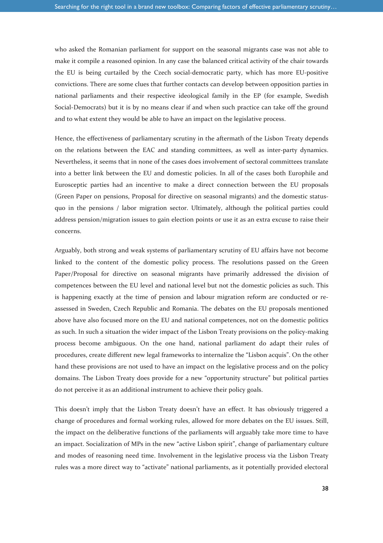who asked the Romanian parliament for support on the seasonal migrants case was not able to make it compile a reasoned opinion. In any case the balanced critical activity of the chair towards the EU is being curtailed by the Czech social-democratic party, which has more EU-positive convictions. There are some clues that further contacts can develop between opposition parties in national parliaments and their respective ideological family in the EP (for example, Swedish Social-Democrats) but it is by no means clear if and when such practice can take off the ground and to what extent they would be able to have an impact on the legislative process.

Hence, the effectiveness of parliamentary scrutiny in the aftermath of the Lisbon Treaty depends on the relations between the EAC and standing committees, as well as inter-party dynamics. Nevertheless, it seems that in none of the cases does involvement of sectoral committees translate into a better link between the EU and domestic policies. In all of the cases both Europhile and Eurosceptic parties had an incentive to make a direct connection between the EU proposals (Green Paper on pensions, Proposal for directive on seasonal migrants) and the domestic statusquo in the pensions / labor migration sector. Ultimately, although the political parties could address pension/migration issues to gain election points or use it as an extra excuse to raise their concerns.

Arguably, both strong and weak systems of parliamentary scrutiny of EU affairs have not become linked to the content of the domestic policy process. The resolutions passed on the Green Paper/Proposal for directive on seasonal migrants have primarily addressed the division of competences between the EU level and national level but not the domestic policies as such. This is happening exactly at the time of pension and labour migration reform are conducted or reassessed in Sweden, Czech Republic and Romania. The debates on the EU proposals mentioned above have also focused more on the EU and national competences, not on the domestic politics as such. In such a situation the wider impact of the Lisbon Treaty provisions on the policy-making process become ambiguous. On the one hand, national parliament do adapt their rules of procedures, create different new legal frameworks to internalize the "Lisbon acquis". On the other hand these provisions are not used to have an impact on the legislative process and on the policy domains. The Lisbon Treaty does provide for a new "opportunity structure" but political parties do not perceive it as an additional instrument to achieve their policy goals.

This doesn't imply that the Lisbon Treaty doesn't have an effect. It has obviously triggered a change of procedures and formal working rules, allowed for more debates on the EU issues. Still, the impact on the deliberative functions of the parliaments will arguably take more time to have an impact. Socialization of MPs in the new "active Lisbon spirit", change of parliamentary culture and modes of reasoning need time. Involvement in the legislative process via the Lisbon Treaty rules was a more direct way to "activate" national parliaments, as it potentially provided electoral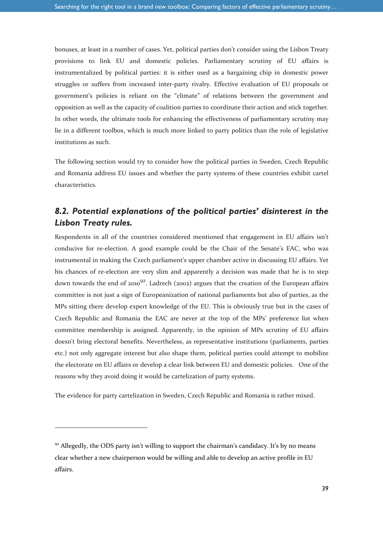bonuses, at least in a number of cases. Yet, political parties don't consider using the Lisbon Treaty provisions to link EU and domestic policies. Parliamentary scrutiny of EU affairs is instrumentalized by political parties: it is either used as a bargaining chip in domestic power struggles or suffers from increased inter-party rivalry. Effective evaluation of EU proposals or government's policies is reliant on the "climate" of relations between the government and opposition as well as the capacity of coalition parties to coordinate their action and stick together. In other words, the ultimate tools for enhancing the effectiveness of parliamentary scrutiny may lie in a different toolbox, which is much more linked to party politics than the role of legislative institutions as such.

The following section would try to consider how the political parties in Sweden, Czech Republic and Romania address EU issues and whether the party systems of these countries exhibit cartel characteristics.

### *8.2. Potential explanations of the political parties' disinterest in the Lisbon Treaty rules.*

Respondents in all of the countries considered mentioned that engagement in EU affairs isn't conducive for re-election. A good example could be the Chair of the Senate's EAC, who was instrumental in making the Czech parliament's upper chamber active in discussing EU affairs. Yet his chances of re-election are very slim and apparently a decision was made that he is to step down towards the end of 2010<sup>92</sup>. Ladrech (2002) argues that the creation of the European affairs committee is not just a sign of Europeanization of national parliaments but also of parties, as the MPs sitting there develop expert knowledge of the EU. This is obviously true but in the cases of Czech Republic and Romania the EAC are never at the top of the MPs' preference list when committee membership is assigned. Apparently, in the opinion of MPs scrutiny of EU affairs doesn't bring electoral benefits. Nevertheless, as representative institutions (parliaments, parties etc.) not only aggregate interest but also shape them, political parties could attempt to mobilize the electorate on EU affairs or develop a clear link between EU and domestic policies. One of the reasons why they avoid doing it would be cartelization of party systems.

The evidence for party cartelization in Sweden, Czech Republic and Romania is rather mixed.

 $92$  Allegedly, the ODS party isn't willing to support the chairman's candidacy. It's by no means clear whether a new chairperson would be willing and able to develop an active profile in EU affairs.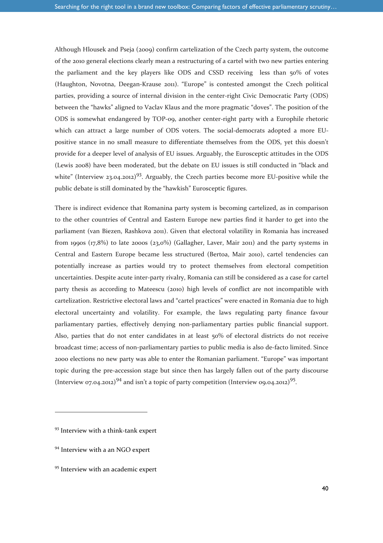Although Hlousek and Pseja (2009) confirm cartelization of the Czech party system, the outcome of the 2010 general elections clearly mean a restructuring of a cartel with two new parties entering the parliament and the key players like ODS and CSSD receiving less than 50% of votes (Haughton, Novotna, Deegan-Krause 2011). "Europe" is contested amongst the Czech political parties, providing a source of internal division in the center-right Civic Democratic Party (ODS) between the "hawks" aligned to Vaclav Klaus and the more pragmatic "doves". The position of the ODS is somewhat endangered by TOP-09, another center-right party with a Europhile rhetoric which can attract a large number of ODS voters. The social-democrats adopted a more EUpositive stance in no small measure to differentiate themselves from the ODS, yet this doesn't provide for a deeper level of analysis of EU issues. Arguably, the Eurosceptic attitudes in the ODS (Lewis 2008) have been moderated, but the debate on EU issues is still conducted in "black and white" (Interview 23.04.2012)<sup>93</sup>. Arguably, the Czech parties become more EU-positive while the public debate is still dominated by the "hawkish" Eurosceptic figures.

There is indirect evidence that Romanina party system is becoming cartelized, as in comparison to the other countries of Central and Eastern Europe new parties find it harder to get into the parliament (van Biezen, Rashkova 2011). Given that electoral volatility in Romania has increased from 1990s (17,8%) to late 2000s (23,0%) (Gallagher, Laver, Mair 2011) and the party systems in Central and Eastern Europe became less structured (Bertoa, Mair 2010), cartel tendencies can potentially increase as parties would try to protect themselves from electoral competition uncertainties. Despite acute inter-party rivalry, Romania can still be considered as a case for cartel party thesis as according to Mateescu (2010) high levels of conflict are not incompatible with cartelization. Restrictive electoral laws and "cartel practices" were enacted in Romania due to high electoral uncertainty and volatility. For example, the laws regulating party finance favour parliamentary parties, effectively denying non-parliamentary parties public financial support. Also, parties that do not enter candidates in at least 50% of electoral districts do not receive broadcast time; access of non-parliamentary parties to public media is also de-facto limited. Since 2000 elections no new party was able to enter the Romanian parliament. "Europe" was important topic during the pre-accession stage but since then has largely fallen out of the party discourse (Interview 07.04.2012)<sup>94</sup> and isn't a topic of party competition (Interview 09.04.2012)<sup>95</sup>.

<sup>&</sup>lt;sup>93</sup> Interview with a think-tank expert

<sup>&</sup>lt;sup>94</sup> Interview with a an NGO expert

<sup>&</sup>lt;sup>95</sup> Interview with an academic expert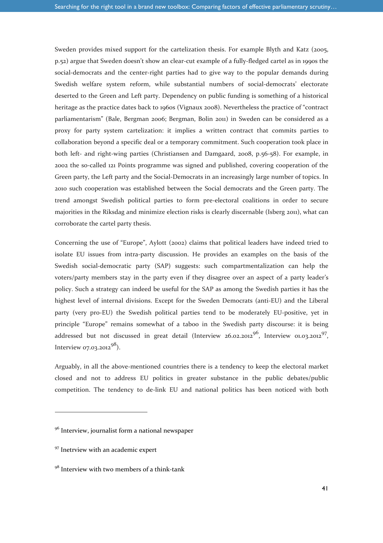Sweden provides mixed support for the cartelization thesis. For example Blyth and Katz (2005, p.52) argue that Sweden doesn't show an clear-cut example of a fully-fledged cartel as in 1990s the social-democrats and the center-right parties had to give way to the popular demands during Swedish welfare system reform, while substantial numbers of social-democrats' electorate deserted to the Green and Left party. Dependency on public funding is something of a historical heritage as the practice dates back to 1960s (Vignaux 2008). Nevertheless the practice of "contract parliamentarism" (Bale, Bergman 2006; Bergman, Bolin 2011) in Sweden can be considered as a proxy for party system cartelization: it implies a written contract that commits parties to collaboration beyond a specific deal or a temporary commitment. Such cooperation took place in both left- and right-wing parties (Christiansen and Damgaard, 2008, p.56-58). For example, in 2002 the so-called 121 Points programme was signed and published, covering cooperation of the Green party, the Left party and the Social-Democrats in an increasingly large number of topics. In 2010 such cooperation was established between the Social democrats and the Green party. The trend amongst Swedish political parties to form pre-electoral coalitions in order to secure majorities in the Riksdag and minimize election risks is clearly discernable (Isberg 2011), what can corroborate the cartel party thesis.

Concerning the use of "Europe", Aylott (2002) claims that political leaders have indeed tried to isolate EU issues from intra-party discussion. He provides an examples on the basis of the Swedish social-democratic party (SAP) suggests: such compartmentalization can help the voters/party members stay in the party even if they disagree over an aspect of a party leader's policy. Such a strategy can indeed be useful for the SAP as among the Swedish parties it has the highest level of internal divisions. Except for the Sweden Democrats (anti-EU) and the Liberal party (very pro-EU) the Swedish political parties tend to be moderately EU-positive, yet in principle "Europe" remains somewhat of a taboo in the Swedish party discourse: it is being addressed but not discussed in great detail (Interview 26.02.2012 $^{96}$ , Interview 01.03.2012 $^{97}$ , Interview 07.03.2012 $98$ ).

Arguably, in all the above-mentioned countries there is a tendency to keep the electoral market closed and not to address EU politics in greater substance in the public debates/public competition. The tendency to de-link EU and national politics has been noticed with both

<sup>&</sup>lt;sup>96</sup> Interview, journalist form a national newspaper

<sup>&</sup>lt;sup>97</sup> Inetrview with an academic expert

<sup>98</sup> Interview with two members of a think-tank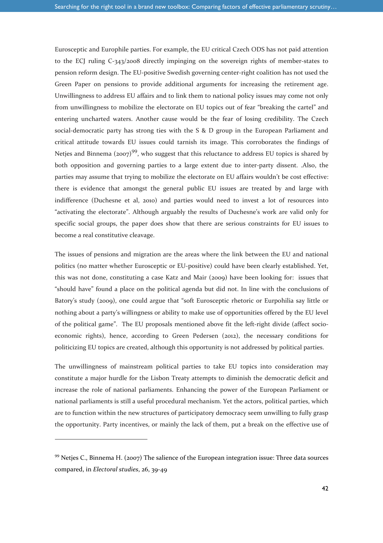Eurosceptic and Europhile parties. For example, the EU critical Czech ODS has not paid attention to the ECJ ruling C-343/2008 directly impinging on the sovereign rights of member-states to pension reform design. The EU-positive Swedish governing center-right coalition has not used the Green Paper on pensions to provide additional arguments for increasing the retirement age. Unwillingness to address EU affairs and to link them to national policy issues may come not only from unwillingness to mobilize the electorate on EU topics out of fear "breaking the cartel" and entering uncharted waters. Another cause would be the fear of losing credibility. The Czech social-democratic party has strong ties with the S & D group in the European Parliament and critical attitude towards EU issues could tarnish its image. This corroborates the findings of Neties and Binnema (2007)<sup>99</sup>, who suggest that this reluctance to address EU topics is shared by both opposition and governing parties to a large extent due to inter-party dissent. .Also, the parties may assume that trying to mobilize the electorate on EU affairs wouldn't be cost effective: there is evidence that amongst the general public EU issues are treated by and large with indifference (Duchesne et al, 2010) and parties would need to invest a lot of resources into "activating the electorate". Although arguably the results of Duchesne's work are valid only for specific social groups, the paper does show that there are serious constraints for EU issues to become a real constitutive cleavage.

The issues of pensions and migration are the areas where the link between the EU and national politics (no matter whether Eurosceptic or EU-positive) could have been clearly established. Yet, this was not done, constituting a case Katz and Mair (2009) have been looking for: issues that "should have" found a place on the political agenda but did not. In line with the conclusions of Batory's study (2009), one could argue that "soft Eurosceptic rhetoric or Eurpohilia say little or nothing about a party's willingness or ability to make use of opportunities offered by the EU level of the political game". The EU proposals mentioned above fit the left-right divide (affect socioeconomic rights), hence, according to Green Pedersen (2012), the necessary conditions for politicizing EU topics are created, although this opportunity is not addressed by political parties.

The unwillingness of mainstream political parties to take EU topics into consideration may constitute a major hurdle for the Lisbon Treaty attempts to diminish the democratic deficit and increase the role of national parliaments. Enhancing the power of the European Parliament or national parliaments is still a useful procedural mechanism. Yet the actors, political parties, which are to function within the new structures of participatory democracy seem unwilling to fully grasp the opportunity. Party incentives, or mainly the lack of them, put a break on the effective use of

 $99$  Netjes C., Binnema H. (2007) The salience of the European integration issue: Three data sources compared, in *Electoral studies*, 26, 39-49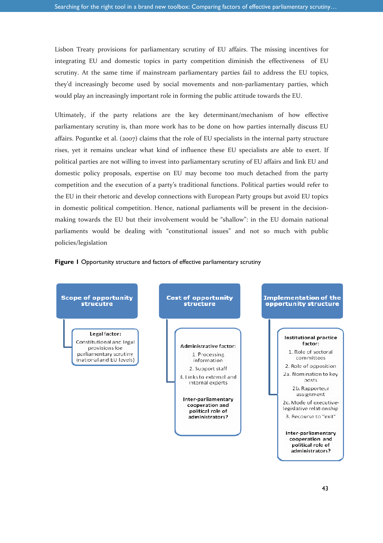Lisbon Treaty provisions for parliamentary scrutiny of EU affairs. The missing incentives for integrating EU and domestic topics in party competition diminish the effectiveness of EU scrutiny. At the same time if mainstream parliamentary parties fail to address the EU topics, they'd increasingly become used by social movements and non-parliamentary parties, which would play an increasingly important role in forming the public attitude towards the EU.

Ultimately, if the party relations are the key determinant/mechanism of how effective parliamentary scrutiny is, than more work has to be done on how parties internally discuss EU affairs. Poguntke et al. (2007) claims that the role of EU specialists in the internal party structure rises, yet it remains unclear what kind of influence these EU specialists are able to exert. If political parties are not willing to invest into parliamentary scrutiny of EU affairs and link EU and domestic policy proposals, expertise on EU may become too much detached from the party competition and the execution of a party's traditional functions. Political parties would refer to the EU in their rhetoric and develop connections with European Party groups but avoid EU topics in domestic political competition. Hence, national parliaments will be present in the decisionmaking towards the EU but their involvement would be "shallow": in the EU domain national parliaments would be dealing with "constitutional issues" and not so much with public policies/legislation



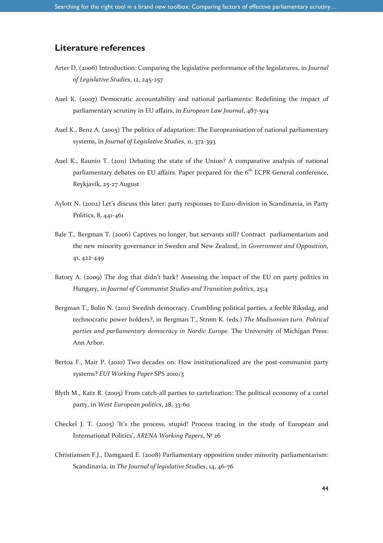### **Literature references**

- Arter D. (2006) Introduction: Comparing the legislative performance of the legislatures, in *Journal of Legislative Studies*, 12, 245-257
- Auel K. (2007) Democratic accountability and national parliaments: Redefining the impact of parliamentary scrutiny in EU affairs, in *European Law Journal*, 487-504
- Auel K., Benz A. (2005) The politics of adaptation: The Europeanisation of national parliamentary systems, in *Journal of Legislative Studies*, 11, 372-393
- Auel K., Raunio T. (2011) Debating the state of the Union? A comparative analysis of national parliamentary debates on EU affairs. Paper prepared for the  $6<sup>th</sup> ECPR$  General conference, Reykjavik, 25-27 August
- Aylott N. (2002) Let's discuss this later: party responses to Euro-division in Scandinavia, in Party Politics, 8, 441-461
- Bale T., Bergman T. (2006) Captives no longer, but servants still? Contract parliamentarism and the new minority governance in Sweden and New Zealand, in *Government and Opposition*, 41, 422-449
- Batory A. (2009) The dog that didn't bark? Assessing the impact of the EU on party politics in Hungary, in *Journal of Communist Studies and Transition politics*, 25:4
- Bergman T., Bolin N. (2011) Swedish democracy. Crumbling political parties, a feeble Riksdag, and technocratic power holders?, in Bergman T., Strøm K. (eds.) *The Madisonian turn. Political parties and parliamentary democracy in Nordic Europe.* The University of Michigan Press: Ann Arbor.
- Bertoa F., Mair P. (2010) Two decades on: How institutionalized are the post-communist party systems? *EUI Working Paper* SPS 2010/3
- Blyth M., Katz R. (2005) From catch-all parties to cartelization: The political economy of a cartel party, in *West European politics*, 28, 33-60
- Checkel J. T. (2005) 'It's the process, stupid! Process tracing in the study of European and International Politics', *ARENA Working Papers*, № 26
- Christiansen F.J., Damgaard E. (2008) Parliamentary opposition under minority parliamentarism: Scandinavia, in *The Journal of legislative Studies*, 14, 46-76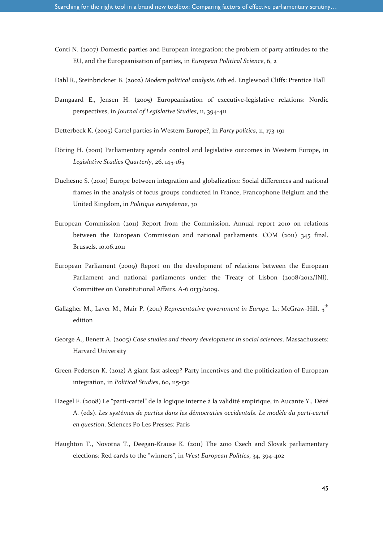- Conti N. (2007) Domestic parties and European integration: the problem of party attitudes to the EU, and the Europeanisation of parties, in *European Political Science*, 6, 2
- Dahl R., Steinbrickner B. (2002) *Modern political analysis*. 6th ed. Englewood Cliffs: Prentice Hall
- Damgaard E., Jensen H. (2005) Europeanisation of executive-legislative relations: Nordic perspectives, in *Journal of Legislative Studies*, 11, 394-411
- Detterbeck K. (2005) Cartel parties in Western Europe?, in *Party politics*, 11, 173-191
- Döring H. (2001) Parliamentary agenda control and legislative outcomes in Western Europe, in *Legislative Studies Quarterly*, 26, 145-165
- Duchesne S. (2010) Europe between integration and globalization: Social differences and national frames in the analysis of focus groups conducted in France, Francophone Belgium and the United Kingdom, in *Politique européenne*, 30
- European Commission (2011) Report from the Commission. Annual report 2010 on relations between the European Commission and national parliaments. COM (2011) 345 final. Brussels. 10.06.2011
- European Parliament (2009) Report on the development of relations between the European Parliament and national parliaments under the Treaty of Lisbon (2008/2012/INI). Committee on Constitutional Affairs. A-6 0133/2009.
- Gallagher M., Laver M., Mair P. (2011) *Representative government in Europe.* L.: McGraw-Hill. 5th edition
- George A., Benett A. (2005) *Case studies and theory development in social sciences*. Massachussets: Harvard University
- Green-Pedersen K. (2012) A giant fast asleep? Party incentives and the politicization of European integration, in *Political Studies*, 60, 115-130
- Haegel F. (2008) Le "parti-cartel" de la logique interne à la validité empirique, in Aucante Y., Dézé A. (eds). *Les systèmes de parties dans les démocraties occidentals. Le modèle du parti-cartel en question*. Sciences Po Les Presses: Paris
- Haughton T., Novotna T., Deegan-Krause K. (2011) The 2010 Czech and Slovak parliamentary elections: Red cards to the "winners", in *West European Politics*, 34, 394-402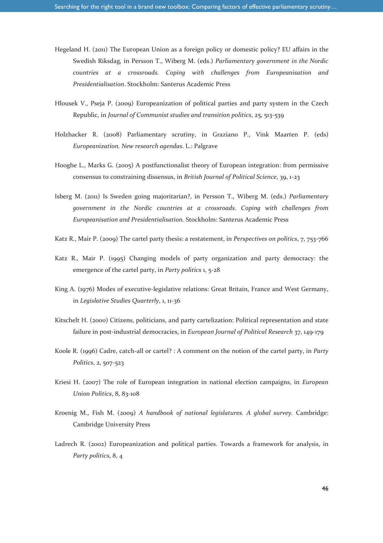- Hegeland H. (2011) The European Union as a foreign policy or domestic policy? EU affairs in the Swedish Riksdag, in Persson T., Wiberg M. (eds.) *Parliamentary government in the Nordic countries at a crossroads. Coping with challenges from Europeanisation and Presidentialisation*. Stockholm: Santerus Academic Press
- Hlousek V., Pseja P. (2009) Europeanization of political parties and party system in the Czech Republic, in *Journal of Communist studies and transition politics*, 25, 513-539
- Holzhacker R. (2008) Parliamentary scrutiny, in Graziano P., Vink Maarten P. (eds) *Europeanization. New research agendas*. L.: Palgrave
- Hooghe L., Marks G. (2005) A postfunctionalist theory of European integration: from permissive consensus to constraining dissensus, in *British Journal of Political Science*, 39, 1-23
- Isberg M. (2011) Is Sweden going majoritarian?, in Persson T., Wiberg M. (eds.) *Parliamentary government in the Nordic countries at a crossroads. Coping with challenges from Europeanisation and Presidentialisation.* Stockholm: Santerus Academic Press
- Katz R., Mair P. (2009) The cartel party thesis: a restatement, in *Perspectives on politics*, 7, 753-766
- Katz R., Mair P. (1995) Changing models of party organization and party democracy: the emergence of the cartel party, in *Party politics* 1, 5-28
- King A. (1976) Modes of executive-legislative relations: Great Britain, France and West Germany, in *Legislative Studies Quarterly*, 1, 11-36
- Kitschelt H. (2000) Citizens, politicians, and party cartelization: Political representation and state failure in post-industrial democracies, in *European Journal of Political Research* 37, 149-179
- Koole R. (1996) Cadre, catch-all or cartel? : A comment on the notion of the cartel party, in *Party Politics*, 2, 507-523
- Kriesi H. (2007) The role of European integration in national election campaigns, in *European Union Politics*, 8, 83-108
- Kroenig M., Fish M. (2009) *A handbook of national legislatures. A global survey.* Cambridge: Cambridge University Press
- Ladrech R. (2002) Europeanization and political parties. Towards a framework for analysis, in *Party politics*, 8, 4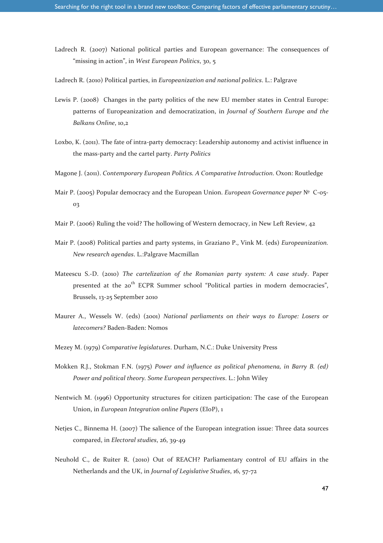- Ladrech R. (2007) National political parties and European governance: The consequences of "missing in action", in *West European Politics*, 30, 5
- Ladrech R. (2010) Political parties, in *Europeanization and national politics*. L.: Palgrave
- Lewis P. (2008) Changes in the party politics of the new EU member states in Central Europe: patterns of Europeanization and democratization, in *Journal of Southern Europe and the Balkans Online*, 10,2
- Loxbo, K. (2011). The fate of intra-party democracy: Leadership autonomy and activist influence in the mass-party and the cartel party. *Party Politics*
- Magone J. (2011). *Contemporary European Politics. A Comparative Introduction*. Oxon: Routledge
- Mair P. (2005) Popular democracy and the European Union. *European Governance paper* № C-05- 03
- Mair P. (2006) Ruling the void? The hollowing of Western democracy, in New Left Review, 42
- Mair P. (2008) Political parties and party systems, in Graziano P., Vink M. (eds) *Europeanization. New research agendas*. L.:Palgrave Macmillan
- Mateescu S.-D. (2010) *The cartelization of the Romanian party system: A case study*. Paper presented at the 20<sup>th</sup> ECPR Summer school "Political parties in modern democracies", Brussels, 13-25 September 2010
- Maurer A., Wessels W. (eds) (2001) *National parliaments on their ways to Europe: Losers or latecomers?* Baden-Baden: Nomos
- Mezey M. (1979) *Comparative legislatures*. Durham, N.C.: Duke University Press
- Mokken R.J., Stokman F.N. (1975) *Power and influence as political phenomena, in Barry B. (ed) Power and political theory. Some European perspectives*. L.: John Wiley
- Nentwich M. (1996) Opportunity structures for citizen participation: The case of the European Union, in *European Integration online Papers* (EIoP), 1
- Netjes C., Binnema H. (2007) The salience of the European integration issue: Three data sources compared, in *Electoral studies*, 26, 39-49
- Neuhold C., de Ruiter R. (2010) Out of REACH? Parliamentary control of EU affairs in the Netherlands and the UK, in *Journal of Legislative Studies*, 16, 57-72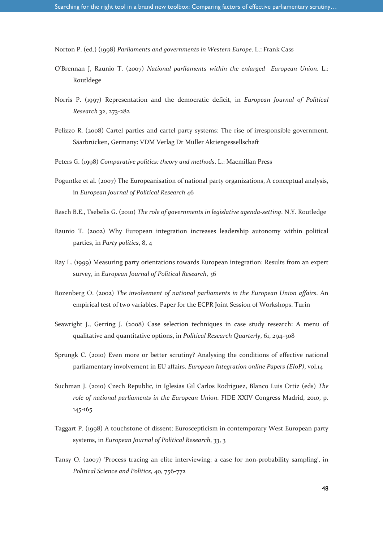Norton P. (ed.) (1998) *Parliaments and governments in Western Europe*. L.: Frank Cass

- O'Brennan J, Raunio T. (2007) *National parliaments within the enlarged European Union*. L.: Routldege
- Norris P. (1997) Representation and the democratic deficit, in *European Journal of Political Research* 32, 273-282
- Pelizzo R. (2008) Cartel parties and cartel party systems: The rise of irresponsible government. Säarbrücken, Germany: VDM Verlag Dr Müller Aktiengessellschaft
- Peters G. (1998) *Comparative politics: theory and methods*. L.: Macmillan Press
- Poguntke et al. (2007) The Europeanisation of national party organizations, A conceptual analysis, in *European Journal of Political Research* 46
- Rasch B.E., Tsebelis G. (2010) *The role of governments in legislative agenda-setting*. N.Y. Routledge
- Raunio T. (2002) Why European integration increases leadership autonomy within political parties, in *Party politics*, 8, 4
- Ray L. (1999) Measuring party orientations towards European integration: Results from an expert survey, in *European Journal of Political Research*, 36
- Rozenberg O. (2002) *The involvement of national parliaments in the European Union affairs*. An empirical test of two variables. Paper for the ECPR Joint Session of Workshops. Turin
- Seawright J., Gerring J. (2008) Case selection techniques in case study research: A menu of qualitative and quantitative options, in *Political Research Quarterly*, 61, 294-308
- Sprungk C. (2010) Even more or better scrutiny? Analysing the conditions of effective national parliamentary involvement in EU affairs. *European Integration online Papers (EIoP)*, vol.14
- Suchman J. (2010) Czech Republic, in Iglesias Gil Carlos Rodriguez, Blanco Luis Ortiz (eds) *The role of national parliaments in the European Union*. FIDE XXIV Congress Madrid, 2010, p. 145-165
- Taggart P. (1998) A touchstone of dissent: Euroscepticism in contemporary West European party systems, in *European Journal of Political Research*, 33, 3
- Tansy O. (2007) 'Process tracing an elite interviewing: a case for non-probability sampling', in *Political Science and Politics*, 40, 756-772